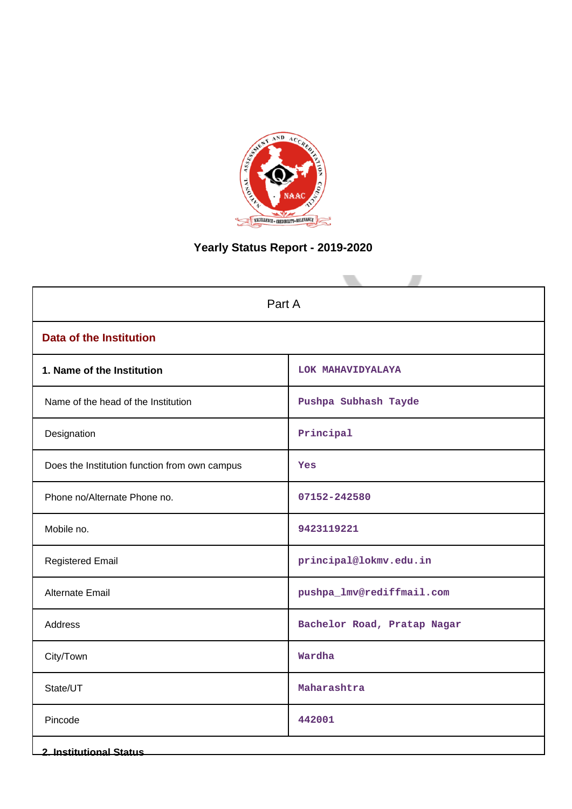

# **Yearly Status Report - 2019-2020**

| Part A                                        |                             |  |  |
|-----------------------------------------------|-----------------------------|--|--|
| <b>Data of the Institution</b>                |                             |  |  |
| 1. Name of the Institution                    | LOK MAHAVIDYALAYA           |  |  |
| Name of the head of the Institution           | Pushpa Subhash Tayde        |  |  |
| Designation                                   | Principal                   |  |  |
| Does the Institution function from own campus | Yes                         |  |  |
| Phone no/Alternate Phone no.                  | 07152-242580                |  |  |
| Mobile no.                                    | 9423119221                  |  |  |
| <b>Registered Email</b>                       | principal@lokmv.edu.in      |  |  |
| <b>Alternate Email</b>                        | pushpa_lmv@rediffmail.com   |  |  |
| Address                                       | Bachelor Road, Pratap Nagar |  |  |
| City/Town                                     | Wardha                      |  |  |
| State/UT                                      | Maharashtra                 |  |  |
| Pincode                                       | 442001                      |  |  |
| <b>2. Institutional Status</b>                |                             |  |  |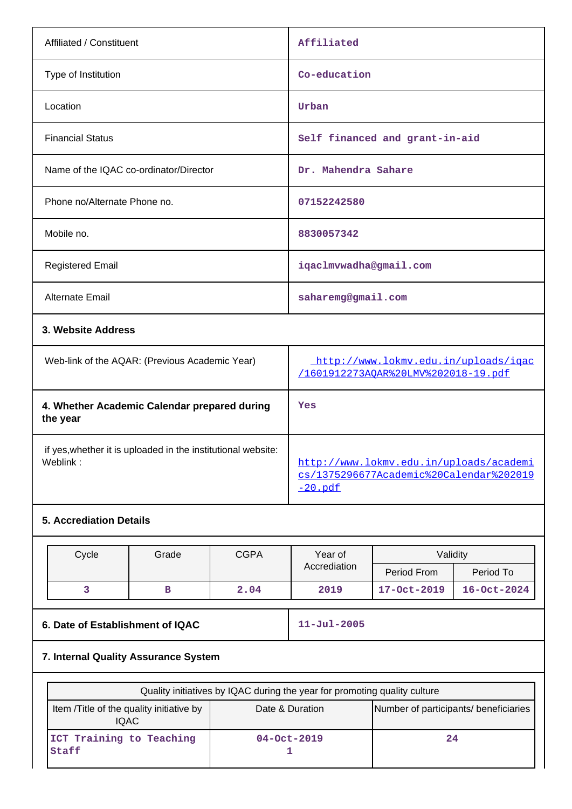| Affiliated / Constituent                       | Affiliated                                                                  |
|------------------------------------------------|-----------------------------------------------------------------------------|
| Type of Institution                            | Co-education                                                                |
| Location                                       | Urban                                                                       |
| <b>Financial Status</b>                        | Self financed and grant-in-aid                                              |
| Name of the IQAC co-ordinator/Director         | Dr. Mahendra Sahare                                                         |
| Phone no/Alternate Phone no.                   | 07152242580                                                                 |
| Mobile no.                                     | 8830057342                                                                  |
| <b>Registered Email</b>                        | iqaclmvwadha@gmail.com                                                      |
| <b>Alternate Email</b>                         | saharemg@gmail.com                                                          |
| 3. Website Address                             |                                                                             |
| Web-link of the AQAR: (Previous Academic Year) | http://www.lokmv.edu.in/uploads/igac<br>/1601912273AOAR%20LMV%202018-19.pdf |
| 4. Whether Academic Calendar prepared during   | Yes                                                                         |

**the year** if yes,whether it is uploaded in the institutional website:

[http://www.lokmv.edu.in/uploads/academi](http://www.lokmv.edu.in/uploads/academics/1375296677Academic%20Calendar%202019-20.pdf) [cs/1375296677Academic%20Calendar%202019](http://www.lokmv.edu.in/uploads/academics/1375296677Academic%20Calendar%202019-20.pdf) [-20.pdf](http://www.lokmv.edu.in/uploads/academics/1375296677Academic%20Calendar%202019-20.pdf)

## **5. Accrediation Details**

| Cycle | Grade | <b>CGPA</b> | Year of      | Validity    |                   |
|-------|-------|-------------|--------------|-------------|-------------------|
|       |       |             | Accrediation | Period From | Period To         |
|       |       | 2.04        | 2019         | 17-Oct-2019 | $16 - Oct - 2024$ |

**6. Date of Establishment of IQAC 11-Jul-2005**

## **7. Internal Quality Assurance System**

| Quality initiatives by IQAC during the year for promoting quality culture |                   |                                       |  |  |
|---------------------------------------------------------------------------|-------------------|---------------------------------------|--|--|
| Item /Title of the quality initiative by<br><b>IQAC</b>                   | Date & Duration   | Number of participants/ beneficiaries |  |  |
| ICT Training to Teaching<br>Staff                                         | $04 - Oct - 2019$ | 24                                    |  |  |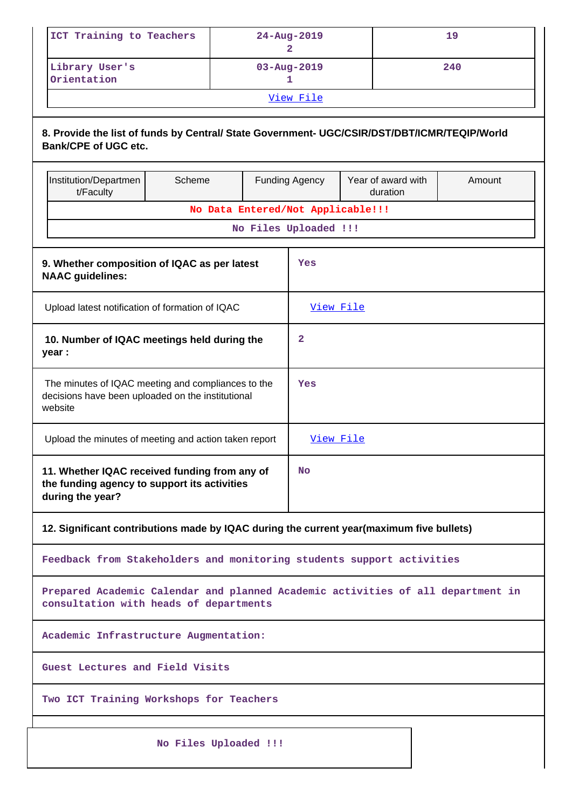| $24 - Aug - 2019$ | 19  |  |  |  |
|-------------------|-----|--|--|--|
| $03 - Aug - 2019$ | 240 |  |  |  |
| View File         |     |  |  |  |
|                   |     |  |  |  |

## **8. Provide the list of funds by Central/ State Government- UGC/CSIR/DST/DBT/ICMR/TEQIP/World Bank/CPE of UGC etc.**

| Institution/Departmen<br>t/Faculty                                                                                 | Scheme                                                                                                                    |  | <b>Funding Agency</b> | Year of award with<br>duration | Amount |
|--------------------------------------------------------------------------------------------------------------------|---------------------------------------------------------------------------------------------------------------------------|--|-----------------------|--------------------------------|--------|
| No Data Entered/Not Applicable!!!                                                                                  |                                                                                                                           |  |                       |                                |        |
| No Files Uploaded !!!                                                                                              |                                                                                                                           |  |                       |                                |        |
|                                                                                                                    |                                                                                                                           |  |                       |                                |        |
| 9. Whether composition of IQAC as per latest<br><b>NAAC</b> guidelines:                                            |                                                                                                                           |  | Yes                   |                                |        |
| Upload latest notification of formation of IQAC                                                                    |                                                                                                                           |  | View File             |                                |        |
| 10. Number of IQAC meetings held during the<br>year :                                                              |                                                                                                                           |  | $\mathbf{2}$          |                                |        |
| The minutes of IQAC meeting and compliances to the<br>decisions have been uploaded on the institutional<br>website |                                                                                                                           |  | Yes                   |                                |        |
| Upload the minutes of meeting and action taken report                                                              |                                                                                                                           |  | View File             |                                |        |
| 11. Whether IQAC received funding from any of<br>the funding agency to support its activities<br>during the year?  |                                                                                                                           |  | No                    |                                |        |
| 12. Significant contributions made by IQAC during the current year(maximum five bullets)                           |                                                                                                                           |  |                       |                                |        |
| Feedback from Stakeholders and monitoring students support activities                                              |                                                                                                                           |  |                       |                                |        |
|                                                                                                                    | Prepared Academic Calendar and planned Academic activities of all department in<br>consultation with heads of departments |  |                       |                                |        |
| Academic Infrastructure Augmentation:                                                                              |                                                                                                                           |  |                       |                                |        |
|                                                                                                                    | Guest Lectures and Field Visits                                                                                           |  |                       |                                |        |
| Two ICT Training Workshops for Teachers                                                                            |                                                                                                                           |  |                       |                                |        |
|                                                                                                                    | No Files Uploaded !!!                                                                                                     |  |                       |                                |        |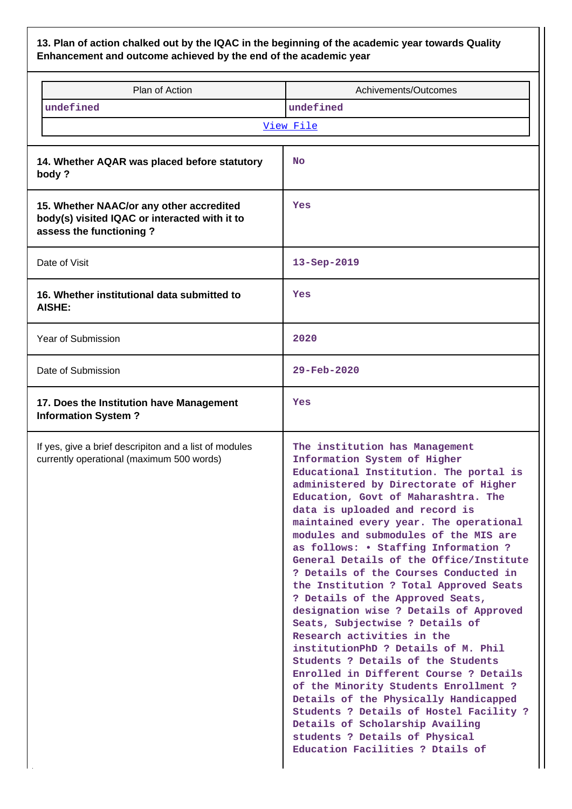**13. Plan of action chalked out by the IQAC in the beginning of the academic year towards Quality Enhancement and outcome achieved by the end of the academic year**

|                                                                                                                      | Plan of Action                                                                                      | Achivements/Outcomes                                                                                                                                                                                                                                                                                                                                                                                                                                                                                                                                                                                                                                                                                                                                                                                                                                                                                                                                                                            |  |  |  |
|----------------------------------------------------------------------------------------------------------------------|-----------------------------------------------------------------------------------------------------|-------------------------------------------------------------------------------------------------------------------------------------------------------------------------------------------------------------------------------------------------------------------------------------------------------------------------------------------------------------------------------------------------------------------------------------------------------------------------------------------------------------------------------------------------------------------------------------------------------------------------------------------------------------------------------------------------------------------------------------------------------------------------------------------------------------------------------------------------------------------------------------------------------------------------------------------------------------------------------------------------|--|--|--|
|                                                                                                                      | undefined                                                                                           | undefined                                                                                                                                                                                                                                                                                                                                                                                                                                                                                                                                                                                                                                                                                                                                                                                                                                                                                                                                                                                       |  |  |  |
| View File                                                                                                            |                                                                                                     |                                                                                                                                                                                                                                                                                                                                                                                                                                                                                                                                                                                                                                                                                                                                                                                                                                                                                                                                                                                                 |  |  |  |
|                                                                                                                      |                                                                                                     |                                                                                                                                                                                                                                                                                                                                                                                                                                                                                                                                                                                                                                                                                                                                                                                                                                                                                                                                                                                                 |  |  |  |
|                                                                                                                      | 14. Whether AQAR was placed before statutory<br>body?                                               | <b>No</b>                                                                                                                                                                                                                                                                                                                                                                                                                                                                                                                                                                                                                                                                                                                                                                                                                                                                                                                                                                                       |  |  |  |
| 15. Whether NAAC/or any other accredited<br>body(s) visited IQAC or interacted with it to<br>assess the functioning? |                                                                                                     | Yes                                                                                                                                                                                                                                                                                                                                                                                                                                                                                                                                                                                                                                                                                                                                                                                                                                                                                                                                                                                             |  |  |  |
|                                                                                                                      | Date of Visit                                                                                       | 13-Sep-2019                                                                                                                                                                                                                                                                                                                                                                                                                                                                                                                                                                                                                                                                                                                                                                                                                                                                                                                                                                                     |  |  |  |
|                                                                                                                      | 16. Whether institutional data submitted to<br><b>AISHE:</b>                                        | Yes                                                                                                                                                                                                                                                                                                                                                                                                                                                                                                                                                                                                                                                                                                                                                                                                                                                                                                                                                                                             |  |  |  |
|                                                                                                                      | Year of Submission                                                                                  | 2020                                                                                                                                                                                                                                                                                                                                                                                                                                                                                                                                                                                                                                                                                                                                                                                                                                                                                                                                                                                            |  |  |  |
|                                                                                                                      | Date of Submission                                                                                  | $29 - \text{Feb} - 2020$                                                                                                                                                                                                                                                                                                                                                                                                                                                                                                                                                                                                                                                                                                                                                                                                                                                                                                                                                                        |  |  |  |
|                                                                                                                      | 17. Does the Institution have Management<br><b>Information System?</b>                              | Yes                                                                                                                                                                                                                                                                                                                                                                                                                                                                                                                                                                                                                                                                                                                                                                                                                                                                                                                                                                                             |  |  |  |
|                                                                                                                      | If yes, give a brief descripiton and a list of modules<br>currently operational (maximum 500 words) | The institution has Management<br>Information System of Higher<br>Educational Institution. The portal is<br>administered by Directorate of Higher<br>Education, Govt of Maharashtra. The<br>data is uploaded and record is<br>maintained every year. The operational<br>modules and submodules of the MIS are<br>as follows: • Staffing Information ?<br>General Details of the Office/Institute<br>? Details of the Courses Conducted in<br>the Institution ? Total Approved Seats<br>? Details of the Approved Seats,<br>designation wise ? Details of Approved<br>Seats, Subjectwise ? Details of<br>Research activities in the<br>institutionPhD ? Details of M. Phil<br>Students ? Details of the Students<br>Enrolled in Different Course ? Details<br>of the Minority Students Enrollment ?<br>Details of the Physically Handicapped<br>Students ? Details of Hostel Facility ?<br>Details of Scholarship Availing<br>students ? Details of Physical<br>Education Facilities ? Dtails of |  |  |  |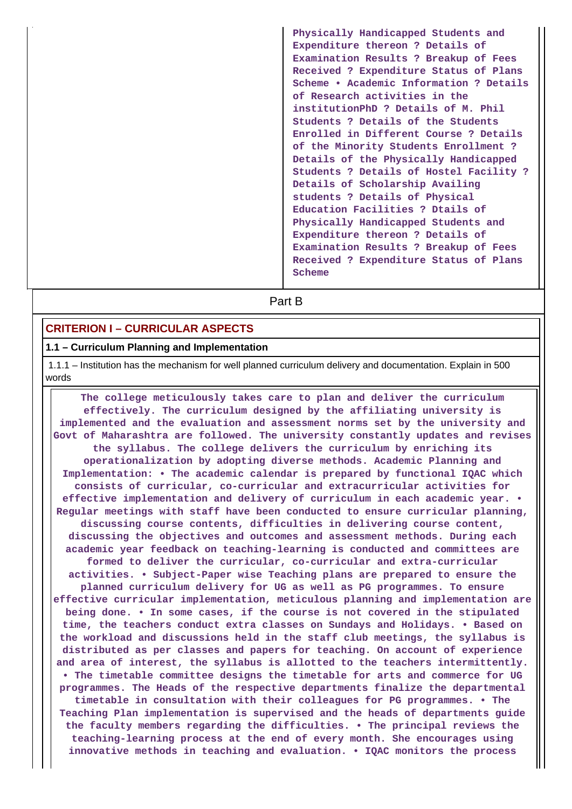**Physically Handicapped Students and Expenditure thereon ? Details of Examination Results ? Breakup of Fees Received ? Expenditure Status of Plans Scheme • Academic Information ? Details of Research activities in the institutionPhD ? Details of M. Phil Students ? Details of the Students Enrolled in Different Course ? Details of the Minority Students Enrollment ? Details of the Physically Handicapped Students ? Details of Hostel Facility ? Details of Scholarship Availing students ? Details of Physical Education Facilities ? Dtails of Physically Handicapped Students and Expenditure thereon ? Details of Examination Results ? Breakup of Fees Received ? Expenditure Status of Plans Scheme**

**Part B** 

## **CRITERION I – CURRICULAR ASPECTS**

#### **1.1 – Curriculum Planning and Implementation**

 1.1.1 – Institution has the mechanism for well planned curriculum delivery and documentation. Explain in 500 words

 **The college meticulously takes care to plan and deliver the curriculum effectively. The curriculum designed by the affiliating university is implemented and the evaluation and assessment norms set by the university and Govt of Maharashtra are followed. The university constantly updates and revises the syllabus. The college delivers the curriculum by enriching its operationalization by adopting diverse methods. Academic Planning and Implementation: • The academic calendar is prepared by functional IQAC which consists of curricular, co-curricular and extracurricular activities for effective implementation and delivery of curriculum in each academic year. • Regular meetings with staff have been conducted to ensure curricular planning, discussing course contents, difficulties in delivering course content, discussing the objectives and outcomes and assessment methods. During each academic year feedback on teaching-learning is conducted and committees are formed to deliver the curricular, co-curricular and extra-curricular activities. • Subject-Paper wise Teaching plans are prepared to ensure the planned curriculum delivery for UG as well as PG programmes. To ensure effective curricular implementation, meticulous planning and implementation are being done. • In some cases, if the course is not covered in the stipulated time, the teachers conduct extra classes on Sundays and Holidays. • Based on the workload and discussions held in the staff club meetings, the syllabus is distributed as per classes and papers for teaching. On account of experience and area of interest, the syllabus is allotted to the teachers intermittently. • The timetable committee designs the timetable for arts and commerce for UG programmes. The Heads of the respective departments finalize the departmental timetable in consultation with their colleagues for PG programmes. • The Teaching Plan implementation is supervised and the heads of departments guide the faculty members regarding the difficulties. • The principal reviews the teaching-learning process at the end of every month. She encourages using innovative methods in teaching and evaluation. • IQAC monitors the process**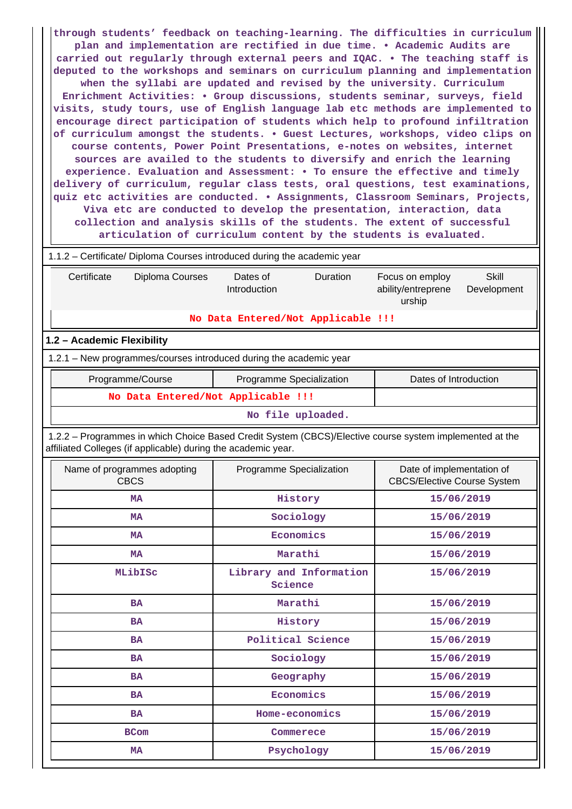**through students' feedback on teaching-learning. The difficulties in curriculum plan and implementation are rectified in due time. • Academic Audits are carried out regularly through external peers and IQAC. • The teaching staff is deputed to the workshops and seminars on curriculum planning and implementation when the syllabi are updated and revised by the university. Curriculum Enrichment Activities: • Group discussions, students seminar, surveys, field visits, study tours, use of English language lab etc methods are implemented to encourage direct participation of students which help to profound infiltration of curriculum amongst the students. • Guest Lectures, workshops, video clips on course contents, Power Point Presentations, e-notes on websites, internet sources are availed to the students to diversify and enrich the learning experience. Evaluation and Assessment: • To ensure the effective and timely delivery of curriculum, regular class tests, oral questions, test examinations, quiz etc activities are conducted. • Assignments, Classroom Seminars, Projects, Viva etc are conducted to develop the presentation, interaction, data collection and analysis skills of the students. The extent of successful articulation of curriculum content by the students is evaluated.** 1.1.2 – Certificate/ Diploma Courses introduced during the academic year Certificate Diploma Courses Dates of Introduction Duration Focus on employ ability/entreprene urship Skill Development **No Data Entered/Not Applicable !!! 1.2 – Academic Flexibility** 1.2.1 – New programmes/courses introduced during the academic year Programme/Course **Programme Specialization** | Dates of Introduction **No Data Entered/Not Applicable !!! No file uploaded.** 1.2.2 – Programmes in which Choice Based Credit System (CBCS)/Elective course system implemented at the affiliated Colleges (if applicable) during the academic year. Name of programmes adopting CBCS Programme Specialization From Programme of implementation of CBCS/Elective Course System **MA History** 15/06/2019 **MA** Sociology 15/06/2019  **MA Economics 15/06/2019 MA Marathi 15/06/2019 MLibISc Library and Information Science 15/06/2019 BA Marathi** 15/06/2019 **BA History** 15/06/2019 BA Political Science **15/06/2019 BA** Sociology 15/06/2019 **BA Geography** 15/06/2019  **BA Economics 15/06/2019** BA **Home-economics** 15/06/2019 **BCom Commerece 15/06/2019 MA** 15/06/2019 **Psychology** 15/06/2019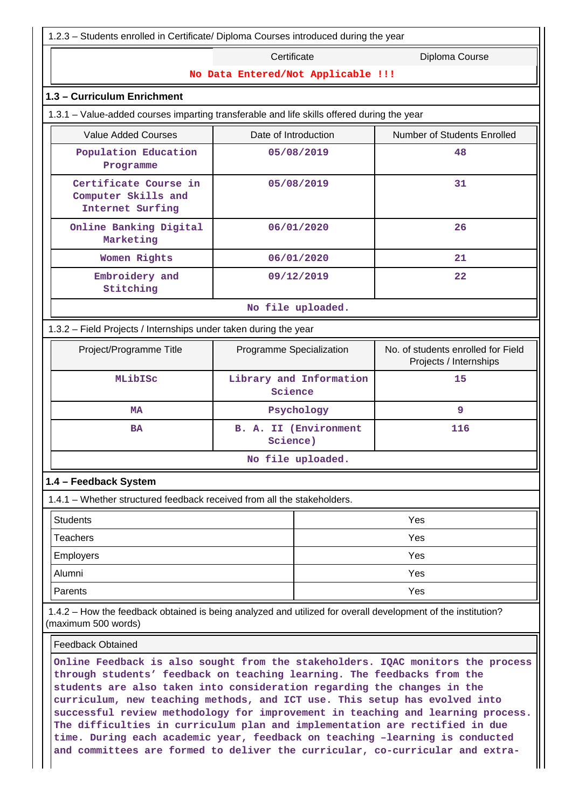| 1.2.3 - Students enrolled in Certificate/ Diploma Courses introduced during the year                                                |                                                                                                                                                                                                                                                                                                                                                                                                        |                                                              |  |  |  |
|-------------------------------------------------------------------------------------------------------------------------------------|--------------------------------------------------------------------------------------------------------------------------------------------------------------------------------------------------------------------------------------------------------------------------------------------------------------------------------------------------------------------------------------------------------|--------------------------------------------------------------|--|--|--|
|                                                                                                                                     | Certificate<br>Diploma Course                                                                                                                                                                                                                                                                                                                                                                          |                                                              |  |  |  |
| No Data Entered/Not Applicable !!!                                                                                                  |                                                                                                                                                                                                                                                                                                                                                                                                        |                                                              |  |  |  |
| 1.3 - Curriculum Enrichment                                                                                                         |                                                                                                                                                                                                                                                                                                                                                                                                        |                                                              |  |  |  |
| 1.3.1 - Value-added courses imparting transferable and life skills offered during the year                                          |                                                                                                                                                                                                                                                                                                                                                                                                        |                                                              |  |  |  |
| <b>Value Added Courses</b>                                                                                                          | Date of Introduction                                                                                                                                                                                                                                                                                                                                                                                   | Number of Students Enrolled                                  |  |  |  |
| Population Education<br>Programme                                                                                                   | 05/08/2019                                                                                                                                                                                                                                                                                                                                                                                             | 48                                                           |  |  |  |
| Certificate Course in<br>Computer Skills and<br>Internet Surfing                                                                    | 05/08/2019                                                                                                                                                                                                                                                                                                                                                                                             | 31                                                           |  |  |  |
| Online Banking Digital<br>Marketing                                                                                                 | 06/01/2020                                                                                                                                                                                                                                                                                                                                                                                             | 26                                                           |  |  |  |
| Women Rights                                                                                                                        | 06/01/2020                                                                                                                                                                                                                                                                                                                                                                                             | 21                                                           |  |  |  |
| Embroidery and<br>Stitching                                                                                                         | 09/12/2019                                                                                                                                                                                                                                                                                                                                                                                             | 22                                                           |  |  |  |
|                                                                                                                                     | No file uploaded.                                                                                                                                                                                                                                                                                                                                                                                      |                                                              |  |  |  |
| 1.3.2 - Field Projects / Internships under taken during the year                                                                    |                                                                                                                                                                                                                                                                                                                                                                                                        |                                                              |  |  |  |
| Project/Programme Title                                                                                                             | Programme Specialization                                                                                                                                                                                                                                                                                                                                                                               | No. of students enrolled for Field<br>Projects / Internships |  |  |  |
| MLibISc                                                                                                                             | Library and Information<br>Science                                                                                                                                                                                                                                                                                                                                                                     | 15                                                           |  |  |  |
| МA                                                                                                                                  | Psychology                                                                                                                                                                                                                                                                                                                                                                                             | 9                                                            |  |  |  |
| <b>BA</b>                                                                                                                           | <b>B. A. II (Environment</b><br>Science)                                                                                                                                                                                                                                                                                                                                                               | 116                                                          |  |  |  |
|                                                                                                                                     | No file uploaded.                                                                                                                                                                                                                                                                                                                                                                                      |                                                              |  |  |  |
| 1.4 - Feedback System                                                                                                               |                                                                                                                                                                                                                                                                                                                                                                                                        |                                                              |  |  |  |
| 1.4.1 – Whether structured feedback received from all the stakeholders.                                                             |                                                                                                                                                                                                                                                                                                                                                                                                        |                                                              |  |  |  |
| <b>Students</b>                                                                                                                     |                                                                                                                                                                                                                                                                                                                                                                                                        | Yes                                                          |  |  |  |
| <b>Teachers</b>                                                                                                                     |                                                                                                                                                                                                                                                                                                                                                                                                        | Yes                                                          |  |  |  |
| <b>Employers</b>                                                                                                                    |                                                                                                                                                                                                                                                                                                                                                                                                        | Yes                                                          |  |  |  |
| Alumni                                                                                                                              |                                                                                                                                                                                                                                                                                                                                                                                                        | Yes                                                          |  |  |  |
| Parents                                                                                                                             |                                                                                                                                                                                                                                                                                                                                                                                                        | Yes                                                          |  |  |  |
| 1.4.2 - How the feedback obtained is being analyzed and utilized for overall development of the institution?<br>(maximum 500 words) |                                                                                                                                                                                                                                                                                                                                                                                                        |                                                              |  |  |  |
| <b>Feedback Obtained</b>                                                                                                            |                                                                                                                                                                                                                                                                                                                                                                                                        |                                                              |  |  |  |
|                                                                                                                                     | Online Feedback is also sought from the stakeholders. IQAC monitors the process<br>through students' feedback on teaching learning. The feedbacks from the<br>students are also taken into consideration regarding the changes in the<br>curriculum, new teaching methods, and ICT use. This setup has evolved into<br>successful review methodology for improvement in teaching and learning process. |                                                              |  |  |  |

**The difficulties in curriculum plan and implementation are rectified in due time. During each academic year, feedback on teaching –learning is conducted and committees are formed to deliver the curricular, co-curricular and extra-**

 $\parallel$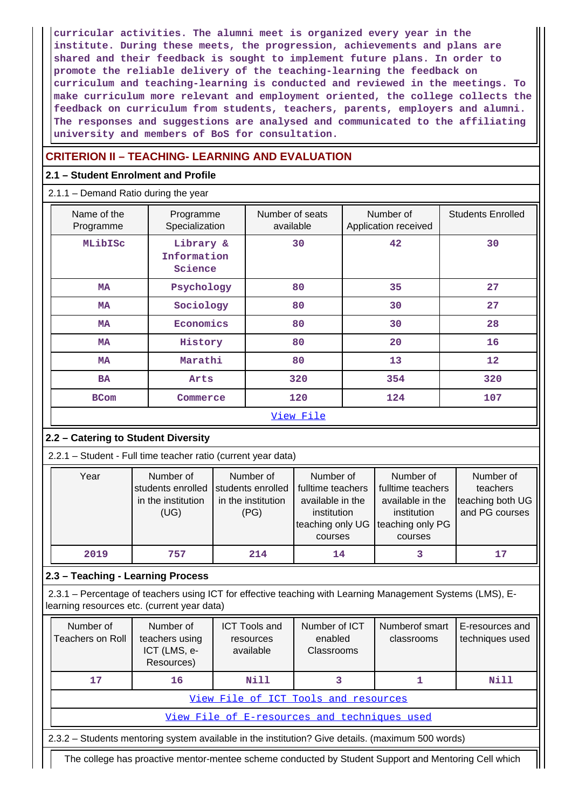**curricular activities. The alumni meet is organized every year in the institute. During these meets, the progression, achievements and plans are shared and their feedback is sought to implement future plans. In order to promote the reliable delivery of the teaching-learning the feedback on curriculum and teaching-learning is conducted and reviewed in the meetings. To make curriculum more relevant and employment oriented, the college collects the feedback on curriculum from students, teachers, parents, employers and alumni. The responses and suggestions are analysed and communicated to the affiliating university and members of BoS for consultation.**

## **CRITERION II – TEACHING- LEARNING AND EVALUATION**

## **2.1 – Student Enrolment and Profile**

## 2.1.1 – Demand Ratio during the year

| Name of the<br>Programme | Programme<br>Specialization         | Number of seats<br>available | Number of<br>Application received | <b>Students Enrolled</b> |
|--------------------------|-------------------------------------|------------------------------|-----------------------------------|--------------------------|
| MLibISc                  | Library &<br>Information<br>Science | 30                           | 42                                | 30                       |
| МA                       | Psychology                          | 80                           | 35                                | 27                       |
| <b>MA</b>                | Sociology                           | 80                           | 30                                | 27                       |
| <b>MA</b>                | Economics                           | 80                           | 30                                | 28                       |
| <b>MA</b>                | History                             | 80                           | 20                                | 16                       |
| <b>MA</b>                | Marathi                             | 80                           | 13                                | 12                       |
| <b>BA</b>                | Arts                                | 320                          | 354                               | 320                      |
| <b>BCom</b>              | Commerce                            | 120                          | 124                               | 107                      |
|                          |                                     | View File                    |                                   |                          |

## **2.2 – Catering to Student Diversity**

2.2.1 – Student - Full time teacher ratio (current year data)

| Year | Number of<br>students enrolled<br>in the institution<br>(UG) | Number of<br>students enrolled<br>in the institution<br>(PG) | Number of<br>fulltime teachers<br>available in the<br>institution<br>teaching only UG Iteaching only PG<br>courses | Number of<br>fulltime teachers<br>available in the<br>institution<br>courses | Number of<br>teachers<br>teaching both UG<br>and PG courses |
|------|--------------------------------------------------------------|--------------------------------------------------------------|--------------------------------------------------------------------------------------------------------------------|------------------------------------------------------------------------------|-------------------------------------------------------------|
| 2019 | 757                                                          | 214                                                          | 14                                                                                                                 |                                                                              | 17                                                          |

## **2.3 – Teaching - Learning Process**

 2.3.1 – Percentage of teachers using ICT for effective teaching with Learning Management Systems (LMS), Elearning resources etc. (current year data)

| Number of<br>Teachers on Roll                                                                     | Number of<br>teachers using<br>ICT (LMS, e-<br>Resources) | <b>ICT Tools and</b><br>resources<br>available | Number of ICT<br>enabled<br>Classrooms | Numberof smart<br>classrooms | E-resources and<br>techniques used |
|---------------------------------------------------------------------------------------------------|-----------------------------------------------------------|------------------------------------------------|----------------------------------------|------------------------------|------------------------------------|
| 17                                                                                                | 16                                                        | Nill                                           |                                        |                              | Nill                               |
| View File of ICT Tools and resources                                                              |                                                           |                                                |                                        |                              |                                    |
| View File of E-resources and techniques used                                                      |                                                           |                                                |                                        |                              |                                    |
| 2.3.2 – Students mentoring system available in the institution? Give details. (maximum 500 words) |                                                           |                                                |                                        |                              |                                    |

The college has proactive mentor-mentee scheme conducted by Student Support and Mentoring Cell which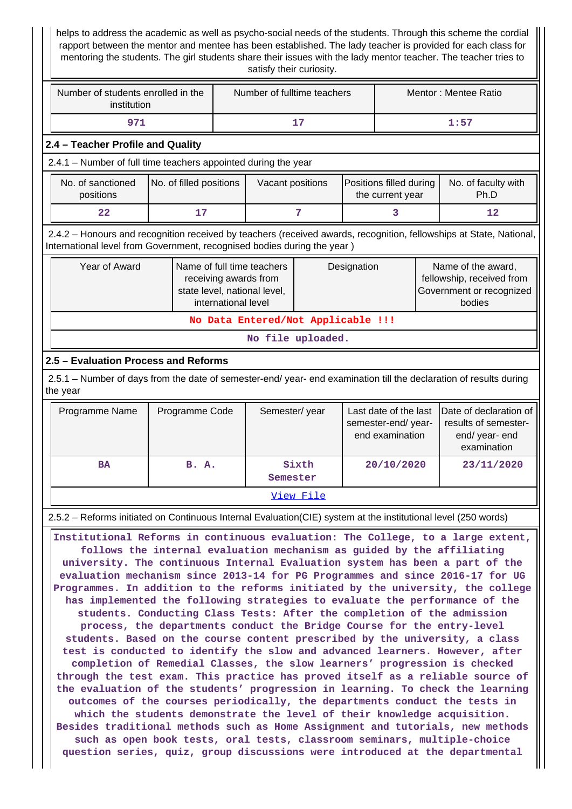helps to address the academic as well as psycho-social needs of the students. Through this scheme the cordial rapport between the mentor and mentee has been established. The lady teacher is provided for each class for mentoring the students. The girl students share their issues with the lady mentor teacher. The teacher tries to satisfy their curiosity.

| Number of students enrolled in the<br>institution | Number of fulltime teachers | Mentor: Mentee Ratio |
|---------------------------------------------------|-----------------------------|----------------------|
|                                                   |                             | 1:57                 |

## **2.4 – Teacher Profile and Quality**

2.4.1 – Number of full time teachers appointed during the year

| No. of sanctioned<br>positions | No. of filled positions | Vacant positions | Positions filled during<br>the current year | No. of faculty with<br>Ph.D |
|--------------------------------|-------------------------|------------------|---------------------------------------------|-----------------------------|
| 22                             |                         |                  |                                             |                             |

 2.4.2 – Honours and recognition received by teachers (received awards, recognition, fellowships at State, National, International level from Government, recognised bodies during the year )

| Year of Award                      | Name of full time teachers<br>receiving awards from<br>state level, national level,<br>international level | Designation | Name of the award,<br>fellowship, received from<br>Government or recognized<br>bodies |  |  |  |
|------------------------------------|------------------------------------------------------------------------------------------------------------|-------------|---------------------------------------------------------------------------------------|--|--|--|
| No Data Entered/Not Applicable !!! |                                                                                                            |             |                                                                                       |  |  |  |

**No file uploaded.**

## **2.5 – Evaluation Process and Reforms**

 2.5.1 – Number of days from the date of semester-end/ year- end examination till the declaration of results during the year

| Programme Name | Programme Code | Semester/year     | semester-end/year-<br>end examination | Last date of the last IDate of declaration of<br>results of semester-<br>end/year-end<br>examination |  |  |
|----------------|----------------|-------------------|---------------------------------------|------------------------------------------------------------------------------------------------------|--|--|
| <b>BA</b>      | B. A.          | Sixth<br>Semester | 20/10/2020                            | 23/11/2020                                                                                           |  |  |
| View File      |                |                   |                                       |                                                                                                      |  |  |

### 2.5.2 – Reforms initiated on Continuous Internal Evaluation(CIE) system at the institutional level (250 words)

 **Institutional Reforms in continuous evaluation: The College, to a large extent, follows the internal evaluation mechanism as guided by the affiliating university. The continuous Internal Evaluation system has been a part of the evaluation mechanism since 2013-14 for PG Programmes and since 2016-17 for UG Programmes. In addition to the reforms initiated by the university, the college has implemented the following strategies to evaluate the performance of the students. Conducting Class Tests: After the completion of the admission process, the departments conduct the Bridge Course for the entry-level students. Based on the course content prescribed by the university, a class test is conducted to identify the slow and advanced learners. However, after completion of Remedial Classes, the slow learners' progression is checked through the test exam. This practice has proved itself as a reliable source of the evaluation of the students' progression in learning. To check the learning outcomes of the courses periodically, the departments conduct the tests in which the students demonstrate the level of their knowledge acquisition. Besides traditional methods such as Home Assignment and tutorials, new methods such as open book tests, oral tests, classroom seminars, multiple-choice question series, quiz, group discussions were introduced at the departmental**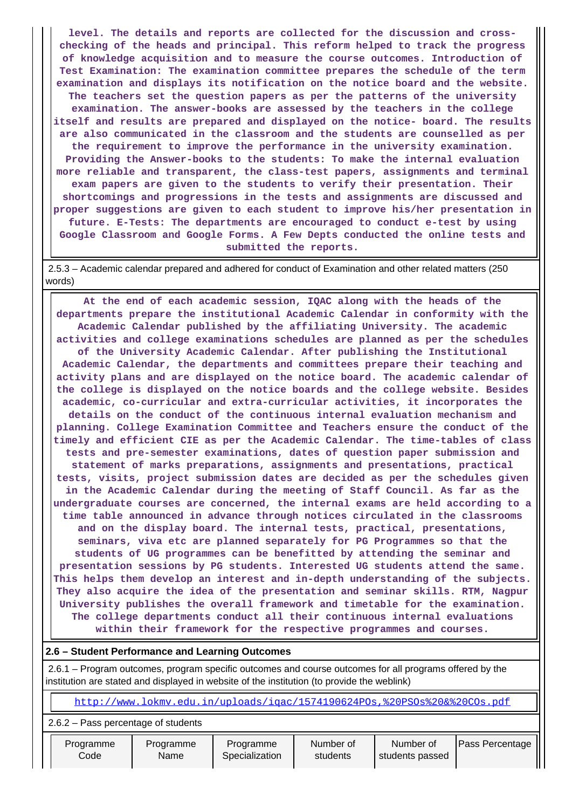**level. The details and reports are collected for the discussion and crosschecking of the heads and principal. This reform helped to track the progress of knowledge acquisition and to measure the course outcomes. Introduction of Test Examination: The examination committee prepares the schedule of the term examination and displays its notification on the notice board and the website. The teachers set the question papers as per the patterns of the university examination. The answer-books are assessed by the teachers in the college itself and results are prepared and displayed on the notice- board. The results are also communicated in the classroom and the students are counselled as per the requirement to improve the performance in the university examination. Providing the Answer-books to the students: To make the internal evaluation more reliable and transparent, the class-test papers, assignments and terminal exam papers are given to the students to verify their presentation. Their shortcomings and progressions in the tests and assignments are discussed and proper suggestions are given to each student to improve his/her presentation in future. E-Tests: The departments are encouraged to conduct e-test by using Google Classroom and Google Forms. A Few Depts conducted the online tests and submitted the reports.**

 2.5.3 – Academic calendar prepared and adhered for conduct of Examination and other related matters (250 words)

 **At the end of each academic session, IQAC along with the heads of the departments prepare the institutional Academic Calendar in conformity with the Academic Calendar published by the affiliating University. The academic activities and college examinations schedules are planned as per the schedules of the University Academic Calendar. After publishing the Institutional Academic Calendar, the departments and committees prepare their teaching and activity plans and are displayed on the notice board. The academic calendar of the college is displayed on the notice boards and the college website. Besides academic, co-curricular and extra-curricular activities, it incorporates the details on the conduct of the continuous internal evaluation mechanism and planning. College Examination Committee and Teachers ensure the conduct of the timely and efficient CIE as per the Academic Calendar. The time-tables of class tests and pre-semester examinations, dates of question paper submission and statement of marks preparations, assignments and presentations, practical tests, visits, project submission dates are decided as per the schedules given in the Academic Calendar during the meeting of Staff Council. As far as the undergraduate courses are concerned, the internal exams are held according to a time table announced in advance through notices circulated in the classrooms and on the display board. The internal tests, practical, presentations, seminars, viva etc are planned separately for PG Programmes so that the students of UG programmes can be benefitted by attending the seminar and presentation sessions by PG students. Interested UG students attend the same. This helps them develop an interest and in-depth understanding of the subjects. They also acquire the idea of the presentation and seminar skills. RTM, Nagpur University publishes the overall framework and timetable for the examination. The college departments conduct all their continuous internal evaluations within their framework for the respective programmes and courses.**

### **2.6 – Student Performance and Learning Outcomes**

 2.6.1 – Program outcomes, program specific outcomes and course outcomes for all programs offered by the institution are stated and displayed in website of the institution (to provide the weblink)

<http://www.lokmv.edu.in/uploads/iqac/1574190624POs,%20PSOs%20&%20COs.pdf>

2.6.2 – Pass percentage of students

 Programme Code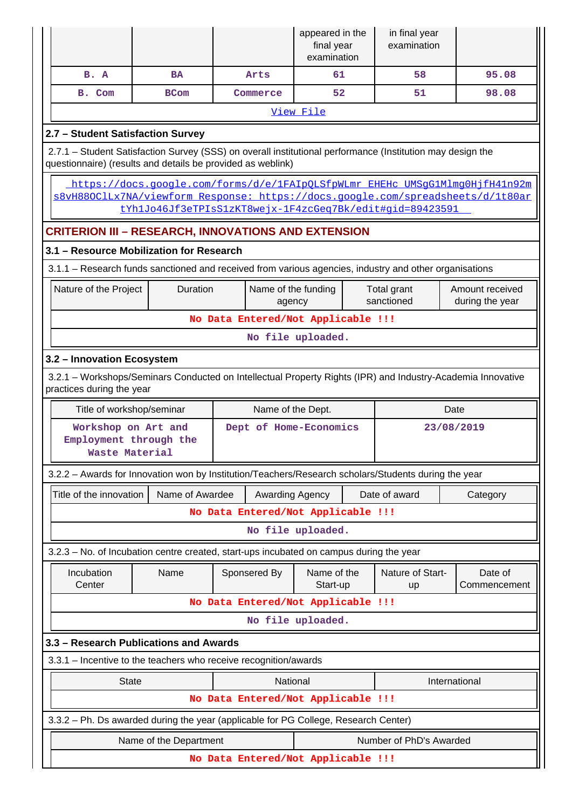|                                                                                                                                                                                                                             |                        |                                    | appeared in the<br>final year<br>examination | in final year<br>examination |                                    |  |  |
|-----------------------------------------------------------------------------------------------------------------------------------------------------------------------------------------------------------------------------|------------------------|------------------------------------|----------------------------------------------|------------------------------|------------------------------------|--|--|
| B. A                                                                                                                                                                                                                        | <b>BA</b>              | Arts                               | 61                                           | 58                           | 95.08                              |  |  |
| B. Com                                                                                                                                                                                                                      | <b>BCom</b>            | Commerce                           | 52                                           | 51                           | 98.08                              |  |  |
|                                                                                                                                                                                                                             |                        |                                    | View File                                    |                              |                                    |  |  |
| 2.7 - Student Satisfaction Survey                                                                                                                                                                                           |                        |                                    |                                              |                              |                                    |  |  |
| 2.7.1 - Student Satisfaction Survey (SSS) on overall institutional performance (Institution may design the<br>questionnaire) (results and details be provided as weblink)                                                   |                        |                                    |                                              |                              |                                    |  |  |
| https://docs.google.com/forms/d/e/1FAIpQLSfpWLmr_EHEHc_UMSgG1Mlmg0HjfH41n92m<br>s8vH88OClLx7NA/viewform Response: https://docs.google.com/spreadsheets/d/1t80ar<br>tYhlJo46Jf3eTPIsS1zKT8wejx-1F4zcGeq7Bk/edit#gid=89423591 |                        |                                    |                                              |                              |                                    |  |  |
| <b>CRITERION III - RESEARCH, INNOVATIONS AND EXTENSION</b>                                                                                                                                                                  |                        |                                    |                                              |                              |                                    |  |  |
| 3.1 - Resource Mobilization for Research                                                                                                                                                                                    |                        |                                    |                                              |                              |                                    |  |  |
| 3.1.1 – Research funds sanctioned and received from various agencies, industry and other organisations                                                                                                                      |                        |                                    |                                              |                              |                                    |  |  |
| Nature of the Project                                                                                                                                                                                                       | Duration               | Name of the funding<br>agency      |                                              | Total grant<br>sanctioned    | Amount received<br>during the year |  |  |
| No Data Entered/Not Applicable !!!                                                                                                                                                                                          |                        |                                    |                                              |                              |                                    |  |  |
| No file uploaded.                                                                                                                                                                                                           |                        |                                    |                                              |                              |                                    |  |  |
| 3.2 - Innovation Ecosystem                                                                                                                                                                                                  |                        |                                    |                                              |                              |                                    |  |  |
| 3.2.1 - Workshops/Seminars Conducted on Intellectual Property Rights (IPR) and Industry-Academia Innovative<br>practices during the year                                                                                    |                        |                                    |                                              |                              |                                    |  |  |
| Title of workshop/seminar<br>Name of the Dept.<br>Date                                                                                                                                                                      |                        |                                    |                                              |                              |                                    |  |  |
|                                                                                                                                                                                                                             |                        |                                    |                                              |                              |                                    |  |  |
| Workshop on Art and<br>Employment through the<br><b>Waste Material</b>                                                                                                                                                      |                        | Dept of Home-Economics             |                                              |                              | 23/08/2019                         |  |  |
| 3.2.2 - Awards for Innovation won by Institution/Teachers/Research scholars/Students during the year                                                                                                                        |                        |                                    |                                              |                              |                                    |  |  |
| Title of the innovation                                                                                                                                                                                                     | Name of Awardee        | Awarding Agency                    |                                              | Date of award                | Category                           |  |  |
|                                                                                                                                                                                                                             |                        | No Data Entered/Not Applicable !!! |                                              |                              |                                    |  |  |
|                                                                                                                                                                                                                             |                        |                                    | No file uploaded.                            |                              |                                    |  |  |
| 3.2.3 – No. of Incubation centre created, start-ups incubated on campus during the year                                                                                                                                     |                        |                                    |                                              |                              |                                    |  |  |
| Incubation<br>Center                                                                                                                                                                                                        | Name                   | Sponsered By                       | Name of the<br>Start-up                      | Nature of Start-<br>up       | Date of<br>Commencement            |  |  |
|                                                                                                                                                                                                                             |                        | No Data Entered/Not Applicable !!! |                                              |                              |                                    |  |  |
|                                                                                                                                                                                                                             |                        |                                    | No file uploaded.                            |                              |                                    |  |  |
| 3.3 - Research Publications and Awards                                                                                                                                                                                      |                        |                                    |                                              |                              |                                    |  |  |
| 3.3.1 - Incentive to the teachers who receive recognition/awards                                                                                                                                                            |                        |                                    |                                              |                              |                                    |  |  |
| <b>State</b>                                                                                                                                                                                                                |                        | National                           |                                              |                              | International                      |  |  |
|                                                                                                                                                                                                                             |                        | No Data Entered/Not Applicable !!! |                                              |                              |                                    |  |  |
| 3.3.2 - Ph. Ds awarded during the year (applicable for PG College, Research Center)                                                                                                                                         |                        |                                    |                                              |                              |                                    |  |  |
|                                                                                                                                                                                                                             | Name of the Department |                                    |                                              | Number of PhD's Awarded      |                                    |  |  |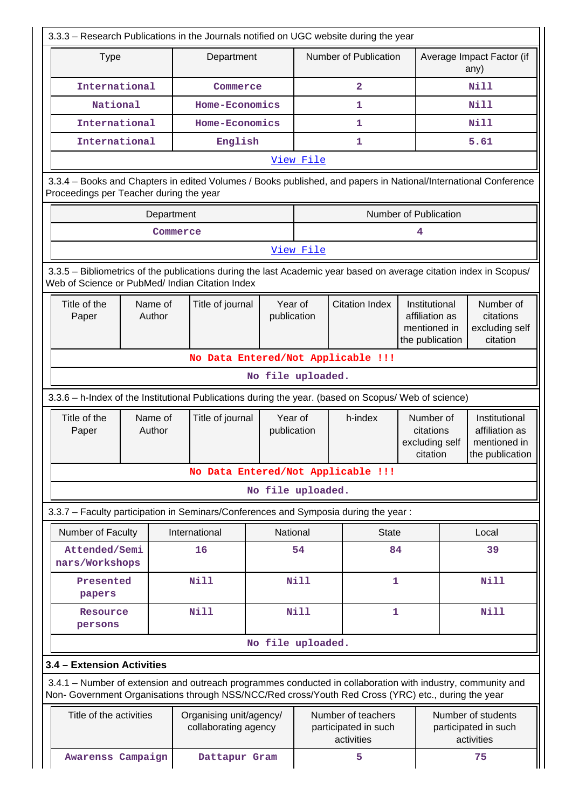| 3.3.3 – Research Publications in the Journals notified on UGC website during the year                                                                                                                              |                   |                                                 |                        |                                                          |                                                                 |                                                                    |                                                          |                                                                    |
|--------------------------------------------------------------------------------------------------------------------------------------------------------------------------------------------------------------------|-------------------|-------------------------------------------------|------------------------|----------------------------------------------------------|-----------------------------------------------------------------|--------------------------------------------------------------------|----------------------------------------------------------|--------------------------------------------------------------------|
| <b>Type</b>                                                                                                                                                                                                        |                   | Department                                      |                        |                                                          | Number of Publication                                           |                                                                    | Average Impact Factor (if<br>any)                        |                                                                    |
| International                                                                                                                                                                                                      |                   | Commerce                                        |                        |                                                          | $\overline{a}$                                                  |                                                                    | <b>Nill</b>                                              |                                                                    |
| National                                                                                                                                                                                                           |                   | Home-Economics                                  |                        | 1                                                        |                                                                 |                                                                    | <b>Nill</b>                                              |                                                                    |
| International                                                                                                                                                                                                      |                   | Home-Economics                                  |                        |                                                          | 1                                                               |                                                                    | Nill                                                     |                                                                    |
| International                                                                                                                                                                                                      |                   | English                                         |                        |                                                          | $\mathbf{1}$                                                    |                                                                    |                                                          | 5.61                                                               |
|                                                                                                                                                                                                                    |                   |                                                 |                        | View File                                                |                                                                 |                                                                    |                                                          |                                                                    |
| 3.3.4 - Books and Chapters in edited Volumes / Books published, and papers in National/International Conference<br>Proceedings per Teacher during the year                                                         |                   |                                                 |                        |                                                          |                                                                 |                                                                    |                                                          |                                                                    |
|                                                                                                                                                                                                                    |                   | Department                                      |                        |                                                          |                                                                 | Number of Publication                                              |                                                          |                                                                    |
|                                                                                                                                                                                                                    |                   | Commerce                                        |                        |                                                          |                                                                 | 4                                                                  |                                                          |                                                                    |
|                                                                                                                                                                                                                    |                   |                                                 |                        | View File                                                |                                                                 |                                                                    |                                                          |                                                                    |
| 3.3.5 – Bibliometrics of the publications during the last Academic year based on average citation index in Scopus/<br>Web of Science or PubMed/ Indian Citation Index                                              |                   |                                                 |                        |                                                          |                                                                 |                                                                    |                                                          |                                                                    |
| Title of the<br>Paper                                                                                                                                                                                              | Name of<br>Author | Title of journal                                | publication            | Year of                                                  | <b>Citation Index</b>                                           | Institutional<br>affiliation as<br>mentioned in<br>the publication |                                                          | Number of<br>citations<br>excluding self<br>citation               |
|                                                                                                                                                                                                                    |                   |                                                 |                        |                                                          | No Data Entered/Not Applicable !!!                              |                                                                    |                                                          |                                                                    |
| No file uploaded.                                                                                                                                                                                                  |                   |                                                 |                        |                                                          |                                                                 |                                                                    |                                                          |                                                                    |
| 3.3.6 - h-Index of the Institutional Publications during the year. (based on Scopus/ Web of science)                                                                                                               |                   |                                                 |                        |                                                          |                                                                 |                                                                    |                                                          |                                                                    |
| Title of the<br>Paper                                                                                                                                                                                              | Name of<br>Author | Title of journal                                | Year of<br>publication |                                                          | h-index<br>Number of<br>citations<br>excluding self<br>citation |                                                                    |                                                          | Institutional<br>affiliation as<br>mentioned in<br>the publication |
|                                                                                                                                                                                                                    |                   |                                                 |                        |                                                          | No Data Entered/Not Applicable !!!                              |                                                                    |                                                          |                                                                    |
|                                                                                                                                                                                                                    |                   |                                                 | No file uploaded.      |                                                          |                                                                 |                                                                    |                                                          |                                                                    |
| 3.3.7 - Faculty participation in Seminars/Conferences and Symposia during the year:                                                                                                                                |                   |                                                 |                        |                                                          |                                                                 |                                                                    |                                                          |                                                                    |
| Number of Faculty                                                                                                                                                                                                  |                   | International                                   |                        | National                                                 | <b>State</b>                                                    |                                                                    |                                                          | Local                                                              |
| Attended/Semi<br>nars/Workshops                                                                                                                                                                                    |                   | 16                                              |                        | 54                                                       | 84                                                              |                                                                    |                                                          | 39                                                                 |
| Presented<br>papers                                                                                                                                                                                                |                   | N11                                             |                        | <b>Nill</b>                                              | $\mathbf{1}$                                                    |                                                                    |                                                          | Nill                                                               |
| Resource<br>persons                                                                                                                                                                                                |                   | <b>Nill</b>                                     |                        | <b>Nill</b>                                              | 1                                                               |                                                                    |                                                          | <b>Nill</b>                                                        |
|                                                                                                                                                                                                                    |                   |                                                 | No file uploaded.      |                                                          |                                                                 |                                                                    |                                                          |                                                                    |
| 3.4 - Extension Activities                                                                                                                                                                                         |                   |                                                 |                        |                                                          |                                                                 |                                                                    |                                                          |                                                                    |
| 3.4.1 – Number of extension and outreach programmes conducted in collaboration with industry, community and<br>Non- Government Organisations through NSS/NCC/Red cross/Youth Red Cross (YRC) etc., during the year |                   |                                                 |                        |                                                          |                                                                 |                                                                    |                                                          |                                                                    |
| Title of the activities                                                                                                                                                                                            |                   | Organising unit/agency/<br>collaborating agency |                        | Number of teachers<br>participated in such<br>activities |                                                                 |                                                                    | Number of students<br>participated in such<br>activities |                                                                    |
| Awarenss Campaign                                                                                                                                                                                                  |                   | Dattapur Gram                                   |                        |                                                          | 5                                                               |                                                                    |                                                          | 75                                                                 |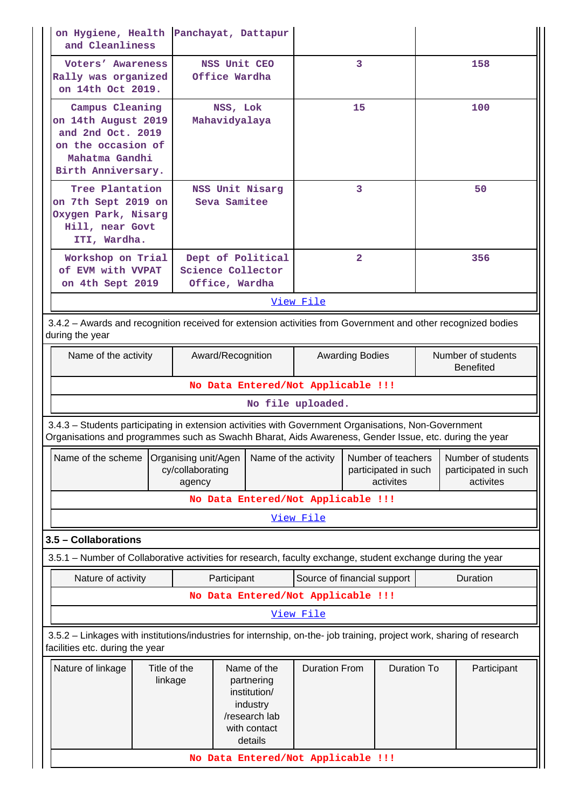| on Hygiene, Health<br>and Cleanliness                                                                                                                                                                          |                         |                            |                               | Panchayat, Dattapur                                                                               |                                                                                                                            |                |                                        |                                                         |  |             |
|----------------------------------------------------------------------------------------------------------------------------------------------------------------------------------------------------------------|-------------------------|----------------------------|-------------------------------|---------------------------------------------------------------------------------------------------|----------------------------------------------------------------------------------------------------------------------------|----------------|----------------------------------------|---------------------------------------------------------|--|-------------|
| Voters' Awareness<br>Rally was organized<br>on 14th Oct 2019.                                                                                                                                                  |                         |                            | NSS Unit CEO<br>Office Wardha |                                                                                                   |                                                                                                                            | 3              |                                        |                                                         |  | 158         |
| Campus Cleaning<br>on 14th August 2019<br>and 2nd Oct. 2019<br>on the occasion of<br>Mahatma Gandhi<br>Birth Anniversary.                                                                                      |                         |                            | NSS, Lok<br>Mahavidyalaya     |                                                                                                   |                                                                                                                            | 15             |                                        |                                                         |  | 100         |
| Tree Plantation<br>on 7th Sept 2019 on<br>Oxygen Park, Nisarg<br>Hill, near Govt<br>ITI, Wardha.                                                                                                               |                         |                            | Seva Samitee                  | NSS Unit Nisarg                                                                                   |                                                                                                                            | 3              |                                        | 50                                                      |  |             |
| Workshop on Trial<br>of EVM with VVPAT                                                                                                                                                                         |                         |                            |                               | Dept of Political<br>Science Collector                                                            |                                                                                                                            | $\overline{2}$ |                                        |                                                         |  | 356         |
| on 4th Sept 2019                                                                                                                                                                                               |                         |                            | Office, Wardha                |                                                                                                   |                                                                                                                            |                |                                        |                                                         |  |             |
|                                                                                                                                                                                                                |                         |                            |                               |                                                                                                   | View File                                                                                                                  |                |                                        |                                                         |  |             |
| 3.4.2 - Awards and recognition received for extension activities from Government and other recognized bodies<br>during the year                                                                                |                         |                            |                               |                                                                                                   |                                                                                                                            |                |                                        |                                                         |  |             |
| Name of the activity                                                                                                                                                                                           |                         | Award/Recognition          |                               |                                                                                                   | <b>Awarding Bodies</b>                                                                                                     |                | Number of students<br><b>Benefited</b> |                                                         |  |             |
|                                                                                                                                                                                                                |                         |                            |                               |                                                                                                   | No Data Entered/Not Applicable !!!                                                                                         |                |                                        |                                                         |  |             |
|                                                                                                                                                                                                                |                         |                            |                               |                                                                                                   | No file uploaded.                                                                                                          |                |                                        |                                                         |  |             |
| 3.4.3 - Students participating in extension activities with Government Organisations, Non-Government<br>Organisations and programmes such as Swachh Bharat, Aids Awareness, Gender Issue, etc. during the year |                         |                            |                               |                                                                                                   |                                                                                                                            |                |                                        |                                                         |  |             |
|                                                                                                                                                                                                                |                         | cy/collaborating<br>agency |                               |                                                                                                   | Name of the scheme Organising unit/Agen   Name of the activity   Number of teachers  <br>participated in such<br>activites |                |                                        | Number of students<br>participated in such<br>activites |  |             |
|                                                                                                                                                                                                                |                         |                            |                               |                                                                                                   | No Data Entered/Not Applicable !!!                                                                                         |                |                                        |                                                         |  |             |
|                                                                                                                                                                                                                |                         |                            |                               |                                                                                                   | View File                                                                                                                  |                |                                        |                                                         |  |             |
| 3.5 - Collaborations                                                                                                                                                                                           |                         |                            |                               |                                                                                                   |                                                                                                                            |                |                                        |                                                         |  |             |
| 3.5.1 – Number of Collaborative activities for research, faculty exchange, student exchange during the year                                                                                                    |                         |                            |                               |                                                                                                   |                                                                                                                            |                |                                        |                                                         |  |             |
| Nature of activity                                                                                                                                                                                             |                         |                            | Participant                   |                                                                                                   | Source of financial support                                                                                                |                |                                        |                                                         |  | Duration    |
|                                                                                                                                                                                                                |                         |                            |                               |                                                                                                   | No Data Entered/Not Applicable !!!                                                                                         |                |                                        |                                                         |  |             |
|                                                                                                                                                                                                                |                         |                            |                               |                                                                                                   | View File                                                                                                                  |                |                                        |                                                         |  |             |
| 3.5.2 - Linkages with institutions/industries for internship, on-the- job training, project work, sharing of research<br>facilities etc. during the year                                                       |                         |                            |                               |                                                                                                   |                                                                                                                            |                |                                        |                                                         |  |             |
| Nature of linkage                                                                                                                                                                                              | Title of the<br>linkage |                            |                               | Name of the<br>partnering<br>institution/<br>industry<br>/research lab<br>with contact<br>details | <b>Duration From</b>                                                                                                       |                | <b>Duration To</b>                     |                                                         |  | Participant |
|                                                                                                                                                                                                                |                         |                            |                               |                                                                                                   | No Data Entered/Not Applicable !!!                                                                                         |                |                                        |                                                         |  |             |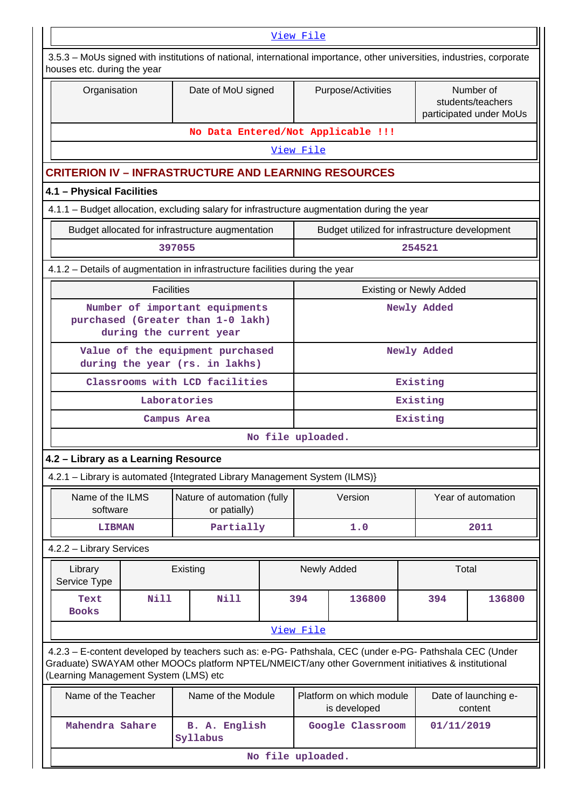| View File                                                                                                                                             |                                                                    |                                                                                                                                                                                                                |                   |                                |                                                |             |                                |                                                           |  |
|-------------------------------------------------------------------------------------------------------------------------------------------------------|--------------------------------------------------------------------|----------------------------------------------------------------------------------------------------------------------------------------------------------------------------------------------------------------|-------------------|--------------------------------|------------------------------------------------|-------------|--------------------------------|-----------------------------------------------------------|--|
| 3.5.3 – MoUs signed with institutions of national, international importance, other universities, industries, corporate<br>houses etc. during the year |                                                                    |                                                                                                                                                                                                                |                   |                                |                                                |             |                                |                                                           |  |
| Organisation                                                                                                                                          |                                                                    | Date of MoU signed                                                                                                                                                                                             |                   | Purpose/Activities             |                                                |             |                                | Number of<br>students/teachers<br>participated under MoUs |  |
|                                                                                                                                                       |                                                                    | No Data Entered/Not Applicable !!!                                                                                                                                                                             |                   |                                |                                                |             |                                |                                                           |  |
|                                                                                                                                                       |                                                                    |                                                                                                                                                                                                                |                   | View File                      |                                                |             |                                |                                                           |  |
| <b>CRITERION IV - INFRASTRUCTURE AND LEARNING RESOURCES</b>                                                                                           |                                                                    |                                                                                                                                                                                                                |                   |                                |                                                |             |                                |                                                           |  |
| 4.1 - Physical Facilities                                                                                                                             |                                                                    |                                                                                                                                                                                                                |                   |                                |                                                |             |                                |                                                           |  |
| 4.1.1 – Budget allocation, excluding salary for infrastructure augmentation during the year                                                           |                                                                    |                                                                                                                                                                                                                |                   |                                |                                                |             |                                |                                                           |  |
|                                                                                                                                                       |                                                                    | Budget allocated for infrastructure augmentation                                                                                                                                                               |                   |                                | Budget utilized for infrastructure development |             |                                |                                                           |  |
|                                                                                                                                                       |                                                                    | 397055                                                                                                                                                                                                         |                   |                                |                                                | 254521      |                                |                                                           |  |
|                                                                                                                                                       |                                                                    | 4.1.2 – Details of augmentation in infrastructure facilities during the year                                                                                                                                   |                   |                                |                                                |             |                                |                                                           |  |
|                                                                                                                                                       | <b>Facilities</b>                                                  |                                                                                                                                                                                                                |                   |                                |                                                |             | <b>Existing or Newly Added</b> |                                                           |  |
| Number of important equipments<br>purchased (Greater than 1-0 lakh)<br>during the current year                                                        |                                                                    |                                                                                                                                                                                                                |                   |                                |                                                |             | Newly Added                    |                                                           |  |
|                                                                                                                                                       | Value of the equipment purchased<br>during the year (rs. in lakhs) |                                                                                                                                                                                                                |                   |                                |                                                | Newly Added |                                |                                                           |  |
|                                                                                                                                                       |                                                                    | Classrooms with LCD facilities                                                                                                                                                                                 |                   |                                |                                                | Existing    |                                |                                                           |  |
|                                                                                                                                                       |                                                                    | Laboratories                                                                                                                                                                                                   |                   |                                |                                                | Existing    |                                |                                                           |  |
|                                                                                                                                                       |                                                                    | Campus Area                                                                                                                                                                                                    |                   | Existing                       |                                                |             |                                |                                                           |  |
|                                                                                                                                                       |                                                                    |                                                                                                                                                                                                                | No file uploaded. |                                |                                                |             |                                |                                                           |  |
| 4.2 - Library as a Learning Resource                                                                                                                  |                                                                    |                                                                                                                                                                                                                |                   |                                |                                                |             |                                |                                                           |  |
|                                                                                                                                                       |                                                                    | 4.2.1 - Library is automated {Integrated Library Management System (ILMS)}                                                                                                                                     |                   |                                |                                                |             |                                |                                                           |  |
| Name of the ILMS<br>software                                                                                                                          |                                                                    | Nature of automation (fully<br>or patially)                                                                                                                                                                    |                   |                                | Version                                        |             | Year of automation             |                                                           |  |
| <b>LIBMAN</b>                                                                                                                                         |                                                                    | Partially                                                                                                                                                                                                      |                   |                                | 1.0                                            |             |                                | 2011                                                      |  |
| 4.2.2 - Library Services                                                                                                                              |                                                                    |                                                                                                                                                                                                                |                   |                                |                                                |             |                                |                                                           |  |
| Library<br>Service Type                                                                                                                               |                                                                    | Existing                                                                                                                                                                                                       |                   |                                | Newly Added                                    |             | Total                          |                                                           |  |
| Text<br><b>Books</b>                                                                                                                                  | Nill                                                               | <b>Nill</b>                                                                                                                                                                                                    |                   | 394                            | 136800                                         |             | 394                            | 136800                                                    |  |
|                                                                                                                                                       |                                                                    |                                                                                                                                                                                                                |                   | <u>View File</u>               |                                                |             |                                |                                                           |  |
| (Learning Management System (LMS) etc                                                                                                                 |                                                                    | 4.2.3 - E-content developed by teachers such as: e-PG- Pathshala, CEC (under e-PG- Pathshala CEC (Under<br>Graduate) SWAYAM other MOOCs platform NPTEL/NMEICT/any other Government initiatives & institutional |                   |                                |                                                |             |                                |                                                           |  |
| Name of the Teacher                                                                                                                                   |                                                                    | Name of the Module                                                                                                                                                                                             |                   |                                | Platform on which module<br>is developed       |             |                                | Date of launching e-<br>content                           |  |
| Mahendra Sahare                                                                                                                                       |                                                                    | B. A. English<br>Syllabus                                                                                                                                                                                      |                   | Google Classroom<br>01/11/2019 |                                                |             |                                |                                                           |  |
|                                                                                                                                                       | No file uploaded.                                                  |                                                                                                                                                                                                                |                   |                                |                                                |             |                                |                                                           |  |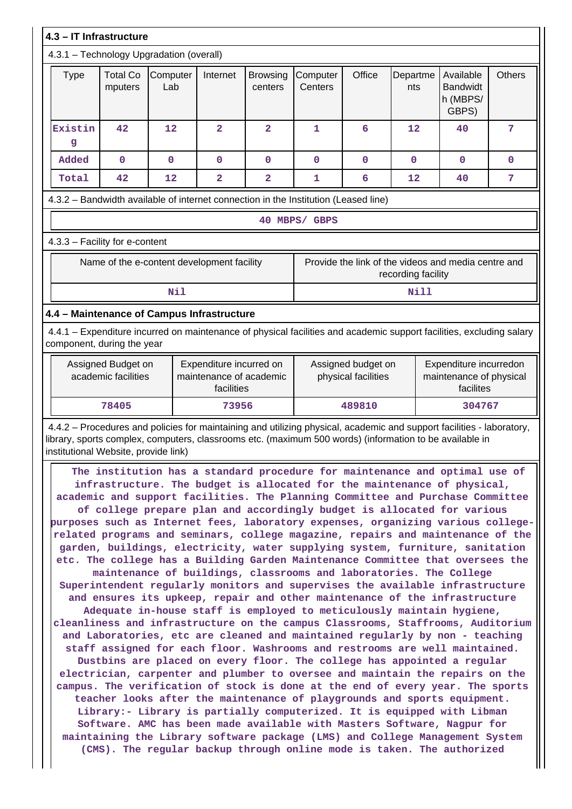|                                                                                                                                                                                                                                                                                                                                                                                                                                                                                                                                                                                                                                                                                                                                                                                                                                                                                                                                                                                                                                                                                                                                                                                                                                                                                                                                                                                                                                                                                                                                                                                                                                                                                                                                                                                                                                                                                                                                                                                                                         |                                            |                 |                         | 4.3 - IT Infrastructure<br>4.3.1 - Technology Upgradation (overall) |                                                                                                                      |             |                    |                                                     |               |  |  |  |
|-------------------------------------------------------------------------------------------------------------------------------------------------------------------------------------------------------------------------------------------------------------------------------------------------------------------------------------------------------------------------------------------------------------------------------------------------------------------------------------------------------------------------------------------------------------------------------------------------------------------------------------------------------------------------------------------------------------------------------------------------------------------------------------------------------------------------------------------------------------------------------------------------------------------------------------------------------------------------------------------------------------------------------------------------------------------------------------------------------------------------------------------------------------------------------------------------------------------------------------------------------------------------------------------------------------------------------------------------------------------------------------------------------------------------------------------------------------------------------------------------------------------------------------------------------------------------------------------------------------------------------------------------------------------------------------------------------------------------------------------------------------------------------------------------------------------------------------------------------------------------------------------------------------------------------------------------------------------------------------------------------------------------|--------------------------------------------|-----------------|-------------------------|---------------------------------------------------------------------|----------------------------------------------------------------------------------------------------------------------|-------------|--------------------|-----------------------------------------------------|---------------|--|--|--|
| <b>Type</b>                                                                                                                                                                                                                                                                                                                                                                                                                                                                                                                                                                                                                                                                                                                                                                                                                                                                                                                                                                                                                                                                                                                                                                                                                                                                                                                                                                                                                                                                                                                                                                                                                                                                                                                                                                                                                                                                                                                                                                                                             | <b>Total Co</b><br>mputers                 | Computer<br>Lab | Internet                | <b>Browsing</b><br>centers                                          | Computer<br>Centers                                                                                                  | Office      | Departme<br>nts    | Available<br><b>Bandwidt</b><br>h (MBPS/<br>GBPS)   | <b>Others</b> |  |  |  |
| Existin<br>g                                                                                                                                                                                                                                                                                                                                                                                                                                                                                                                                                                                                                                                                                                                                                                                                                                                                                                                                                                                                                                                                                                                                                                                                                                                                                                                                                                                                                                                                                                                                                                                                                                                                                                                                                                                                                                                                                                                                                                                                            | 42                                         | 12              | $\overline{2}$          | $\overline{\mathbf{2}}$                                             | $\mathbf{1}$                                                                                                         | 6           | 12                 | 40                                                  | 7             |  |  |  |
| Added                                                                                                                                                                                                                                                                                                                                                                                                                                                                                                                                                                                                                                                                                                                                                                                                                                                                                                                                                                                                                                                                                                                                                                                                                                                                                                                                                                                                                                                                                                                                                                                                                                                                                                                                                                                                                                                                                                                                                                                                                   | $\mathbf 0$                                | $\mathbf 0$     | 0                       | $\mathbf 0$                                                         | $\mathbf 0$                                                                                                          | $\mathbf 0$ | $\mathbf{O}$       | $\mathbf 0$                                         | 0             |  |  |  |
| Total                                                                                                                                                                                                                                                                                                                                                                                                                                                                                                                                                                                                                                                                                                                                                                                                                                                                                                                                                                                                                                                                                                                                                                                                                                                                                                                                                                                                                                                                                                                                                                                                                                                                                                                                                                                                                                                                                                                                                                                                                   | 42                                         | 12              | $\overline{\mathbf{2}}$ | $\mathbf{2}$                                                        | 1                                                                                                                    | 6           | 12                 | 40                                                  | 7             |  |  |  |
|                                                                                                                                                                                                                                                                                                                                                                                                                                                                                                                                                                                                                                                                                                                                                                                                                                                                                                                                                                                                                                                                                                                                                                                                                                                                                                                                                                                                                                                                                                                                                                                                                                                                                                                                                                                                                                                                                                                                                                                                                         |                                            |                 |                         |                                                                     | 4.3.2 - Bandwidth available of internet connection in the Institution (Leased line)                                  |             |                    |                                                     |               |  |  |  |
|                                                                                                                                                                                                                                                                                                                                                                                                                                                                                                                                                                                                                                                                                                                                                                                                                                                                                                                                                                                                                                                                                                                                                                                                                                                                                                                                                                                                                                                                                                                                                                                                                                                                                                                                                                                                                                                                                                                                                                                                                         |                                            |                 |                         |                                                                     | 40 MBPS/ GBPS                                                                                                        |             |                    |                                                     |               |  |  |  |
|                                                                                                                                                                                                                                                                                                                                                                                                                                                                                                                                                                                                                                                                                                                                                                                                                                                                                                                                                                                                                                                                                                                                                                                                                                                                                                                                                                                                                                                                                                                                                                                                                                                                                                                                                                                                                                                                                                                                                                                                                         | 4.3.3 - Facility for e-content             |                 |                         |                                                                     |                                                                                                                      |             |                    |                                                     |               |  |  |  |
|                                                                                                                                                                                                                                                                                                                                                                                                                                                                                                                                                                                                                                                                                                                                                                                                                                                                                                                                                                                                                                                                                                                                                                                                                                                                                                                                                                                                                                                                                                                                                                                                                                                                                                                                                                                                                                                                                                                                                                                                                         | Name of the e-content development facility |                 |                         |                                                                     |                                                                                                                      |             | recording facility | Provide the link of the videos and media centre and |               |  |  |  |
|                                                                                                                                                                                                                                                                                                                                                                                                                                                                                                                                                                                                                                                                                                                                                                                                                                                                                                                                                                                                                                                                                                                                                                                                                                                                                                                                                                                                                                                                                                                                                                                                                                                                                                                                                                                                                                                                                                                                                                                                                         |                                            | Nil             |                         |                                                                     |                                                                                                                      |             | Nill               |                                                     |               |  |  |  |
|                                                                                                                                                                                                                                                                                                                                                                                                                                                                                                                                                                                                                                                                                                                                                                                                                                                                                                                                                                                                                                                                                                                                                                                                                                                                                                                                                                                                                                                                                                                                                                                                                                                                                                                                                                                                                                                                                                                                                                                                                         | 4.4 - Maintenance of Campus Infrastructure |                 |                         |                                                                     |                                                                                                                      |             |                    |                                                     |               |  |  |  |
|                                                                                                                                                                                                                                                                                                                                                                                                                                                                                                                                                                                                                                                                                                                                                                                                                                                                                                                                                                                                                                                                                                                                                                                                                                                                                                                                                                                                                                                                                                                                                                                                                                                                                                                                                                                                                                                                                                                                                                                                                         | component, during the year                 |                 |                         |                                                                     | 4.4.1 – Expenditure incurred on maintenance of physical facilities and academic support facilities, excluding salary |             |                    |                                                     |               |  |  |  |
| Expenditure incurred on<br>Assigned Budget on<br>academic facilities<br>maintenance of academic<br>facilities                                                                                                                                                                                                                                                                                                                                                                                                                                                                                                                                                                                                                                                                                                                                                                                                                                                                                                                                                                                                                                                                                                                                                                                                                                                                                                                                                                                                                                                                                                                                                                                                                                                                                                                                                                                                                                                                                                           |                                            |                 |                         |                                                                     | Expenditure incurredon<br>Assigned budget on<br>physical facilities<br>maintenance of physical<br>facilites          |             |                    |                                                     |               |  |  |  |
|                                                                                                                                                                                                                                                                                                                                                                                                                                                                                                                                                                                                                                                                                                                                                                                                                                                                                                                                                                                                                                                                                                                                                                                                                                                                                                                                                                                                                                                                                                                                                                                                                                                                                                                                                                                                                                                                                                                                                                                                                         | 78405                                      |                 |                         |                                                                     |                                                                                                                      |             |                    |                                                     |               |  |  |  |
|                                                                                                                                                                                                                                                                                                                                                                                                                                                                                                                                                                                                                                                                                                                                                                                                                                                                                                                                                                                                                                                                                                                                                                                                                                                                                                                                                                                                                                                                                                                                                                                                                                                                                                                                                                                                                                                                                                                                                                                                                         |                                            |                 |                         |                                                                     |                                                                                                                      |             |                    |                                                     |               |  |  |  |
| 73956<br>489810<br>304767<br>4.4.2 - Procedures and policies for maintaining and utilizing physical, academic and support facilities - laboratory,<br>library, sports complex, computers, classrooms etc. (maximum 500 words) (information to be available in<br>institutional Website, provide link)<br>The institution has a standard procedure for maintenance and optimal use of<br>infrastructure. The budget is allocated for the maintenance of physical,<br>academic and support facilities. The Planning Committee and Purchase Committee<br>of college prepare plan and accordingly budget is allocated for various<br>purposes such as Internet fees, laboratory expenses, organizing various college-<br>related programs and seminars, college magazine, repairs and maintenance of the<br>garden, buildings, electricity, water supplying system, furniture, sanitation<br>etc. The college has a Building Garden Maintenance Committee that oversees the<br>maintenance of buildings, classrooms and laboratories. The College<br>Superintendent regularly monitors and supervises the available infrastructure<br>and ensures its upkeep, repair and other maintenance of the infrastructure<br>Adequate in-house staff is employed to meticulously maintain hygiene,<br>cleanliness and infrastructure on the campus Classrooms, Staffrooms, Auditorium<br>and Laboratories, etc are cleaned and maintained regularly by non - teaching<br>staff assigned for each floor. Washrooms and restrooms are well maintained.<br>Dustbins are placed on every floor. The college has appointed a regular<br>electrician, carpenter and plumber to oversee and maintain the repairs on the<br>campus. The verification of stock is done at the end of every year. The sports<br>teacher looks after the maintenance of playgrounds and sports equipment.<br>Library:- Library is partially computerized. It is equipped with Libman<br>Software. AMC has been made available with Masters Software, Nagpur for |                                            |                 |                         |                                                                     |                                                                                                                      |             |                    |                                                     |               |  |  |  |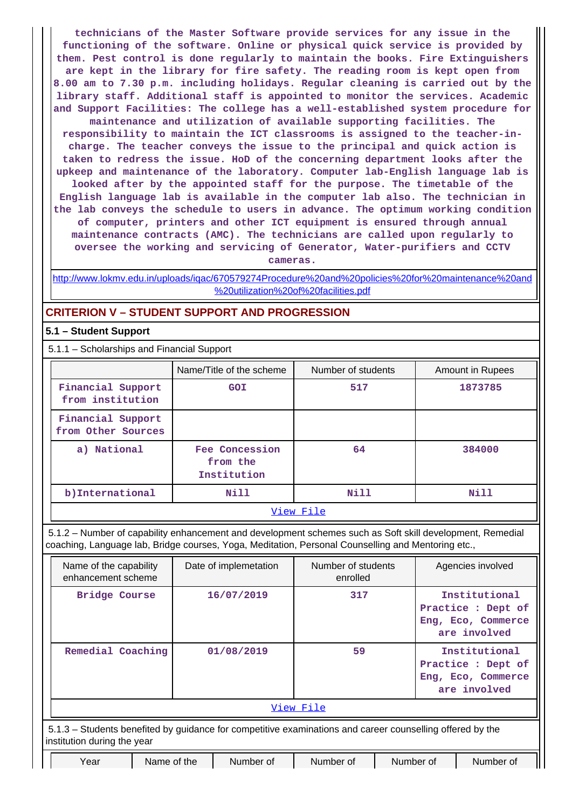**technicians of the Master Software provide services for any issue in the functioning of the software. Online or physical quick service is provided by them. Pest control is done regularly to maintain the books. Fire Extinguishers are kept in the library for fire safety. The reading room is kept open from 8.00 am to 7.30 p.m. including holidays. Regular cleaning is carried out by the library staff. Additional staff is appointed to monitor the services. Academic and Support Facilities: The college has a well-established system procedure for maintenance and utilization of available supporting facilities. The responsibility to maintain the ICT classrooms is assigned to the teacher-incharge. The teacher conveys the issue to the principal and quick action is taken to redress the issue. HoD of the concerning department looks after the upkeep and maintenance of the laboratory. Computer lab-English language lab is looked after by the appointed staff for the purpose. The timetable of the English language lab is available in the computer lab also. The technician in the lab conveys the schedule to users in advance. The optimum working condition of computer, printers and other ICT equipment is ensured through annual maintenance contracts (AMC). The technicians are called upon regularly to oversee the working and servicing of Generator, Water-purifiers and CCTV cameras.**

[http://www.lokmv.edu.in/uploads/iqac/670579274Procedure%20and%20policies%20for%20maintenance%20and](http://www.lokmv.edu.in/uploads/iqac/670579274Procedure%20and%20policies%20for%20maintenance%20and%20utilization%20of%20facilities.pdf) [%20utilization%20of%20facilities.pdf](http://www.lokmv.edu.in/uploads/iqac/670579274Procedure%20and%20policies%20for%20maintenance%20and%20utilization%20of%20facilities.pdf)

## **CRITERION V – STUDENT SUPPORT AND PROGRESSION**

## **5.1 – Student Support**

5.1.1 – Scholarships and Financial Support

|                                         | Name/Title of the scheme                  | Number of students | Amount in Rupees |  |
|-----------------------------------------|-------------------------------------------|--------------------|------------------|--|
| Financial Support<br>from institution   | <b>GOI</b>                                |                    | 1873785          |  |
| Financial Support<br>from Other Sources |                                           |                    |                  |  |
| a) National                             | Fee Concession<br>from the<br>Institution | 64                 | 384000           |  |
| b) International<br>Nill                |                                           | Nill               | Nill             |  |
|                                         |                                           | ステミ ココン・サロミ コーエー   |                  |  |

#### [View File](https://assessmentonline.naac.gov.in/public/Postacc/Scholarships/5760_Scholarships_1642591903.xlsx)

 5.1.2 – Number of capability enhancement and development schemes such as Soft skill development, Remedial coaching, Language lab, Bridge courses, Yoga, Meditation, Personal Counselling and Mentoring etc.,

| Name of the capability<br>enhancement scheme                                                                                             |             | Number of students<br>Date of implemetation<br>enrolled |           |           | Agencies involved                                                         |           |  |
|------------------------------------------------------------------------------------------------------------------------------------------|-------------|---------------------------------------------------------|-----------|-----------|---------------------------------------------------------------------------|-----------|--|
| Bridge Course                                                                                                                            |             | 16/07/2019                                              | 317       |           | Institutional<br>Practice : Dept of<br>Eng, Eco, Commerce<br>are involved |           |  |
| Remedial Coaching                                                                                                                        |             | 01/08/2019                                              | 59        |           | Institutional<br>Practice : Dept of<br>Eng, Eco, Commerce<br>are involved |           |  |
| View File                                                                                                                                |             |                                                         |           |           |                                                                           |           |  |
| 5.1.3 – Students benefited by guidance for competitive examinations and career counselling offered by the<br>institution during the year |             |                                                         |           |           |                                                                           |           |  |
| Year                                                                                                                                     | Name of the | Number of                                               | Number of | Number of |                                                                           | Number of |  |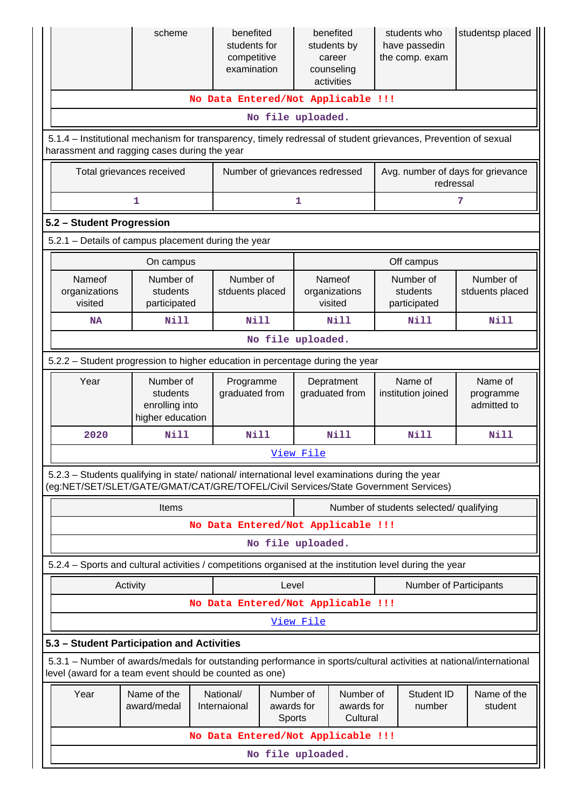|                                                                                                                                                                                        | scheme                                                      | benefited<br>students for<br>competitive<br>examination | benefited<br>students by<br>career<br>counseling<br>activities                                   |             | students who<br>have passedin<br>the comp. exam | studentsp placed                    |  |
|----------------------------------------------------------------------------------------------------------------------------------------------------------------------------------------|-------------------------------------------------------------|---------------------------------------------------------|--------------------------------------------------------------------------------------------------|-------------|-------------------------------------------------|-------------------------------------|--|
|                                                                                                                                                                                        |                                                             | No Data Entered/Not Applicable !!!                      |                                                                                                  |             |                                                 |                                     |  |
| No file uploaded.                                                                                                                                                                      |                                                             |                                                         |                                                                                                  |             |                                                 |                                     |  |
| 5.1.4 – Institutional mechanism for transparency, timely redressal of student grievances, Prevention of sexual<br>harassment and ragging cases during the year                         |                                                             |                                                         |                                                                                                  |             |                                                 |                                     |  |
| Total grievances received                                                                                                                                                              |                                                             | Number of grievances redressed                          |                                                                                                  |             | Avg. number of days for grievance<br>redressal  |                                     |  |
|                                                                                                                                                                                        | $\mathbf{1}$                                                |                                                         | $\mathbf{1}$                                                                                     |             |                                                 | 7                                   |  |
| 5.2 - Student Progression                                                                                                                                                              |                                                             |                                                         |                                                                                                  |             |                                                 |                                     |  |
| 5.2.1 - Details of campus placement during the year                                                                                                                                    |                                                             |                                                         |                                                                                                  |             |                                                 |                                     |  |
|                                                                                                                                                                                        | On campus                                                   |                                                         |                                                                                                  |             | Off campus                                      |                                     |  |
| Nameof<br>organizations<br>visited                                                                                                                                                     | Number of<br>students<br>participated                       | Number of<br>stduents placed                            | Nameof<br>organizations<br>visited                                                               |             | Number of<br>students<br>participated           | Number of<br>stduents placed        |  |
| <b>NA</b>                                                                                                                                                                              | <b>Nill</b>                                                 | <b>Nill</b>                                             |                                                                                                  | Nill        | <b>Nill</b>                                     | <b>Nill</b>                         |  |
| No file uploaded.                                                                                                                                                                      |                                                             |                                                         |                                                                                                  |             |                                                 |                                     |  |
| 5.2.2 - Student progression to higher education in percentage during the year                                                                                                          |                                                             |                                                         |                                                                                                  |             |                                                 |                                     |  |
| Year                                                                                                                                                                                   | Number of<br>students<br>enrolling into<br>higher education | Programme<br>graduated from                             | graduated from                                                                                   | Depratment  | Name of<br>institution joined                   | Name of<br>programme<br>admitted to |  |
| 2020                                                                                                                                                                                   | Nill                                                        | Nill                                                    |                                                                                                  | <b>Nill</b> | <b>Nill</b>                                     | Nill                                |  |
|                                                                                                                                                                                        |                                                             |                                                         | View File                                                                                        |             |                                                 |                                     |  |
| 5.2.3 – Students qualifying in state/ national/ international level examinations during the year<br>(eg:NET/SET/SLET/GATE/GMAT/CAT/GRE/TOFEL/Civil Services/State Government Services) |                                                             |                                                         |                                                                                                  |             |                                                 |                                     |  |
|                                                                                                                                                                                        | Items                                                       |                                                         | Number of students selected/ qualifying                                                          |             |                                                 |                                     |  |
|                                                                                                                                                                                        |                                                             | No Data Entered/Not Applicable !!!                      |                                                                                                  |             |                                                 |                                     |  |
|                                                                                                                                                                                        |                                                             | No file uploaded.                                       |                                                                                                  |             |                                                 |                                     |  |
| 5.2.4 - Sports and cultural activities / competitions organised at the institution level during the year                                                                               |                                                             |                                                         |                                                                                                  |             |                                                 |                                     |  |
| Activity                                                                                                                                                                               |                                                             |                                                         | Level                                                                                            |             | Number of Participants                          |                                     |  |
|                                                                                                                                                                                        |                                                             | No Data Entered/Not Applicable !!!                      |                                                                                                  |             |                                                 |                                     |  |
|                                                                                                                                                                                        |                                                             |                                                         | View File                                                                                        |             |                                                 |                                     |  |
| 5.3 - Student Participation and Activities                                                                                                                                             |                                                             |                                                         |                                                                                                  |             |                                                 |                                     |  |
| 5.3.1 - Number of awards/medals for outstanding performance in sports/cultural activities at national/international<br>level (award for a team event should be counted as one)         |                                                             |                                                         |                                                                                                  |             |                                                 |                                     |  |
| Year                                                                                                                                                                                   | Name of the<br>award/medal                                  | National/<br>Internaional                               | Number of<br>Number of<br>Student ID<br>awards for<br>awards for<br>number<br>Cultural<br>Sports |             | Name of the<br>student                          |                                     |  |
|                                                                                                                                                                                        |                                                             | No Data Entered/Not Applicable !!!                      |                                                                                                  |             |                                                 |                                     |  |
|                                                                                                                                                                                        |                                                             | No file uploaded.                                       |                                                                                                  |             |                                                 |                                     |  |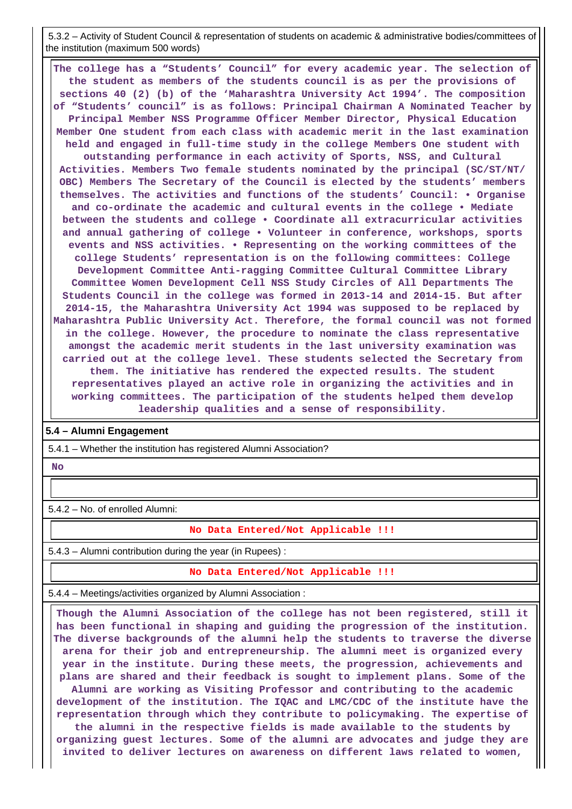5.3.2 – Activity of Student Council & representation of students on academic & administrative bodies/committees of the institution (maximum 500 words)

 **The college has a "Students' Council" for every academic year. The selection of the student as members of the students council is as per the provisions of sections 40 (2) (b) of the 'Maharashtra University Act 1994'. The composition of "Students' council" is as follows: Principal Chairman A Nominated Teacher by Principal Member NSS Programme Officer Member Director, Physical Education Member One student from each class with academic merit in the last examination held and engaged in full-time study in the college Members One student with outstanding performance in each activity of Sports, NSS, and Cultural Activities. Members Two female students nominated by the principal (SC/ST/NT/ OBC) Members The Secretary of the Council is elected by the students' members themselves. The activities and functions of the students' Council: • Organise and co-ordinate the academic and cultural events in the college • Mediate between the students and college • Coordinate all extracurricular activities and annual gathering of college • Volunteer in conference, workshops, sports events and NSS activities. • Representing on the working committees of the college Students' representation is on the following committees: College Development Committee Anti-ragging Committee Cultural Committee Library Committee Women Development Cell NSS Study Circles of All Departments The Students Council in the college was formed in 2013-14 and 2014-15. But after 2014-15, the Maharashtra University Act 1994 was supposed to be replaced by Maharashtra Public University Act. Therefore, the formal council was not formed in the college. However, the procedure to nominate the class representative amongst the academic merit students in the last university examination was carried out at the college level. These students selected the Secretary from them. The initiative has rendered the expected results. The student representatives played an active role in organizing the activities and in working committees. The participation of the students helped them develop leadership qualities and a sense of responsibility.**

### **5.4 – Alumni Engagement**

5.4.1 – Whether the institution has registered Alumni Association?

## **No**

5.4.2 – No. of enrolled Alumni:

#### **No Data Entered/Not Applicable !!!**

5.4.3 – Alumni contribution during the year (in Rupees) :

**No Data Entered/Not Applicable !!!**

5.4.4 – Meetings/activities organized by Alumni Association :

 **Though the Alumni Association of the college has not been registered, still it has been functional in shaping and guiding the progression of the institution. The diverse backgrounds of the alumni help the students to traverse the diverse arena for their job and entrepreneurship. The alumni meet is organized every year in the institute. During these meets, the progression, achievements and plans are shared and their feedback is sought to implement plans. Some of the Alumni are working as Visiting Professor and contributing to the academic development of the institution. The IQAC and LMC/CDC of the institute have the representation through which they contribute to policymaking. The expertise of the alumni in the respective fields is made available to the students by organizing guest lectures. Some of the alumni are advocates and judge they are invited to deliver lectures on awareness on different laws related to women,**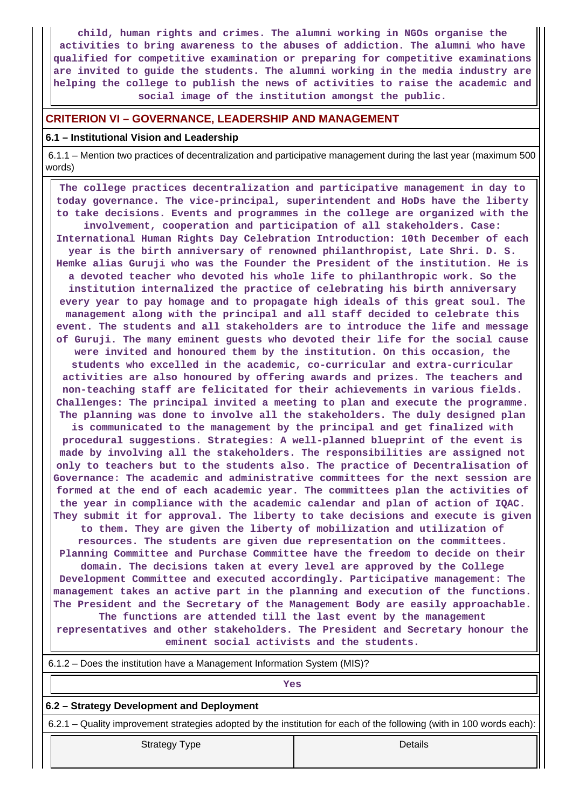**child, human rights and crimes. The alumni working in NGOs organise the activities to bring awareness to the abuses of addiction. The alumni who have qualified for competitive examination or preparing for competitive examinations are invited to guide the students. The alumni working in the media industry are helping the college to publish the news of activities to raise the academic and social image of the institution amongst the public.**

## **CRITERION VI – GOVERNANCE, LEADERSHIP AND MANAGEMENT**

## **6.1 – Institutional Vision and Leadership**

 6.1.1 – Mention two practices of decentralization and participative management during the last year (maximum 500 words)

 **The college practices decentralization and participative management in day to today governance. The vice-principal, superintendent and HoDs have the liberty to take decisions. Events and programmes in the college are organized with the involvement, cooperation and participation of all stakeholders. Case: International Human Rights Day Celebration Introduction: 10th December of each year is the birth anniversary of renowned philanthropist, Late Shri. D. S. Hemke alias Guruji who was the Founder the President of the institution. He is a devoted teacher who devoted his whole life to philanthropic work. So the institution internalized the practice of celebrating his birth anniversary every year to pay homage and to propagate high ideals of this great soul. The management along with the principal and all staff decided to celebrate this event. The students and all stakeholders are to introduce the life and message of Guruji. The many eminent guests who devoted their life for the social cause were invited and honoured them by the institution. On this occasion, the students who excelled in the academic, co-curricular and extra-curricular activities are also honoured by offering awards and prizes. The teachers and non-teaching staff are felicitated for their achievements in various fields. Challenges: The principal invited a meeting to plan and execute the programme. The planning was done to involve all the stakeholders. The duly designed plan is communicated to the management by the principal and get finalized with procedural suggestions. Strategies: A well-planned blueprint of the event is made by involving all the stakeholders. The responsibilities are assigned not only to teachers but to the students also. The practice of Decentralisation of Governance: The academic and administrative committees for the next session are formed at the end of each academic year. The committees plan the activities of the year in compliance with the academic calendar and plan of action of IQAC. They submit it for approval. The liberty to take decisions and execute is given to them. They are given the liberty of mobilization and utilization of resources. The students are given due representation on the committees. Planning Committee and Purchase Committee have the freedom to decide on their domain. The decisions taken at every level are approved by the College Development Committee and executed accordingly. Participative management: The management takes an active part in the planning and execution of the functions. The President and the Secretary of the Management Body are easily approachable. The functions are attended till the last event by the management representatives and other stakeholders. The President and Secretary honour the**

**eminent social activists and the students.**

| 6.1.2 – Does the institution have a Management Information System (MIS)?                                              |         |  |  |  |  |
|-----------------------------------------------------------------------------------------------------------------------|---------|--|--|--|--|
| Yes                                                                                                                   |         |  |  |  |  |
| 6.2 – Strategy Development and Deployment                                                                             |         |  |  |  |  |
| 6.2.1 – Quality improvement strategies adopted by the institution for each of the following (with in 100 words each): |         |  |  |  |  |
| <b>Strategy Type</b>                                                                                                  | Details |  |  |  |  |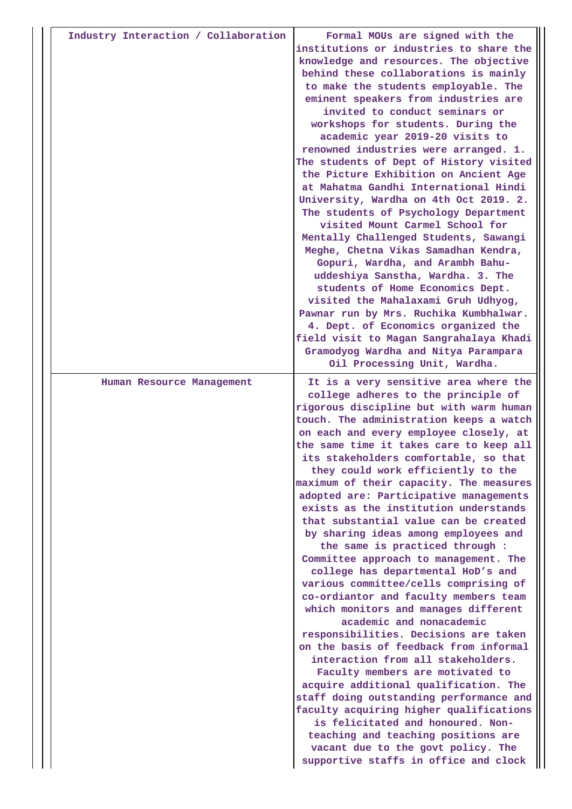| Industry Interaction / Collaboration | Formal MOUs are signed with the<br>institutions or industries to share the<br>knowledge and resources. The objective<br>behind these collaborations is mainly<br>to make the students employable. The<br>eminent speakers from industries are<br>invited to conduct seminars or<br>workshops for students. During the<br>academic year 2019-20 visits to<br>renowned industries were arranged. 1.<br>The students of Dept of History visited<br>the Picture Exhibition on Ancient Age<br>at Mahatma Gandhi International Hindi<br>University, Wardha on 4th Oct 2019. 2.<br>The students of Psychology Department<br>visited Mount Carmel School for<br>Mentally Challenged Students, Sawangi<br>Meghe, Chetna Vikas Samadhan Kendra,<br>Gopuri, Wardha, and Arambh Bahu-<br>uddeshiya Sanstha, Wardha. 3. The<br>students of Home Economics Dept.<br>visited the Mahalaxami Gruh Udhyog,<br>Pawnar run by Mrs. Ruchika Kumbhalwar.<br>4. Dept. of Economics organized the<br>field visit to Magan Sangrahalaya Khadi<br>Gramodyog Wardha and Nitya Parampara<br>Oil Processing Unit, Wardha.                                                                                                                                                                                        |
|--------------------------------------|--------------------------------------------------------------------------------------------------------------------------------------------------------------------------------------------------------------------------------------------------------------------------------------------------------------------------------------------------------------------------------------------------------------------------------------------------------------------------------------------------------------------------------------------------------------------------------------------------------------------------------------------------------------------------------------------------------------------------------------------------------------------------------------------------------------------------------------------------------------------------------------------------------------------------------------------------------------------------------------------------------------------------------------------------------------------------------------------------------------------------------------------------------------------------------------------------------------------------------------------------------------------------------------|
| Human Resource Management            | It is a very sensitive area where the<br>college adheres to the principle of<br>rigorous discipline but with warm human<br>touch. The administration keeps a watch<br>on each and every employee closely, at<br>the same time it takes care to keep all<br>its stakeholders comfortable, so that<br>they could work efficiently to the<br>maximum of their capacity. The measures<br>adopted are: Participative managements<br>exists as the institution understands<br>that substantial value can be created<br>by sharing ideas among employees and<br>the same is practiced through :<br>Committee approach to management. The<br>college has departmental HoD's and<br>various committee/cells comprising of<br>co-ordiantor and faculty members team<br>which monitors and manages different<br>academic and nonacademic<br>responsibilities. Decisions are taken<br>on the basis of feedback from informal<br>interaction from all stakeholders.<br>Faculty members are motivated to<br>acquire additional qualification. The<br>staff doing outstanding performance and<br>faculty acquiring higher qualifications<br>is felicitated and honoured. Non-<br>teaching and teaching positions are<br>vacant due to the govt policy. The<br>supportive staffs in office and clock |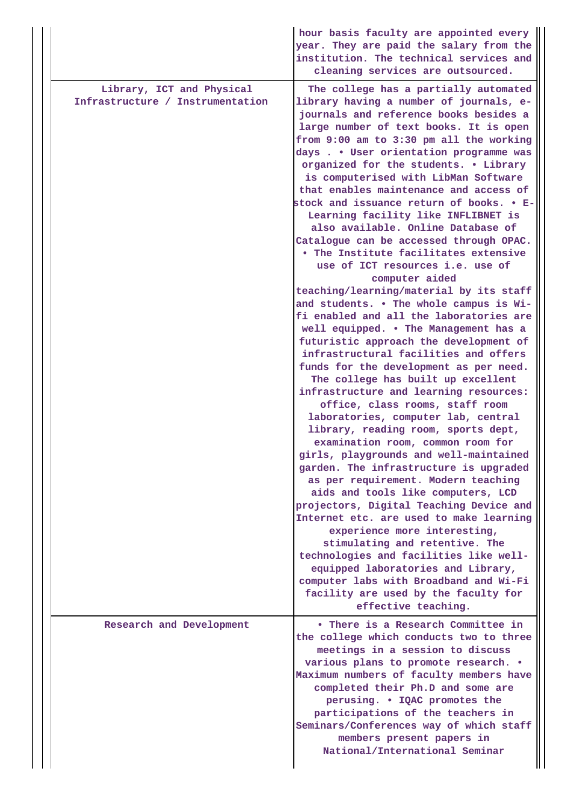|                                                               | hour basis faculty are appointed every<br>year. They are paid the salary from the<br>institution. The technical services and<br>cleaning services are outsourced.                                                                                                                                                                                                                                                                                                                                                                                                                                                                                                                                                                                                                                                                                                                                                                                                                                                                                                                                                                                                                                                                                                                                                                                                                                                                                                                                                                                                                                                                                                                                                   |
|---------------------------------------------------------------|---------------------------------------------------------------------------------------------------------------------------------------------------------------------------------------------------------------------------------------------------------------------------------------------------------------------------------------------------------------------------------------------------------------------------------------------------------------------------------------------------------------------------------------------------------------------------------------------------------------------------------------------------------------------------------------------------------------------------------------------------------------------------------------------------------------------------------------------------------------------------------------------------------------------------------------------------------------------------------------------------------------------------------------------------------------------------------------------------------------------------------------------------------------------------------------------------------------------------------------------------------------------------------------------------------------------------------------------------------------------------------------------------------------------------------------------------------------------------------------------------------------------------------------------------------------------------------------------------------------------------------------------------------------------------------------------------------------------|
| Library, ICT and Physical<br>Infrastructure / Instrumentation | The college has a partially automated<br>library having a number of journals, e-<br>journals and reference books besides a<br>large number of text books. It is open<br>from 9:00 am to 3:30 pm all the working<br>days User orientation programme was<br>organized for the students. • Library<br>is computerised with LibMan Software<br>that enables maintenance and access of<br>stock and issuance return of books. • E-<br>Learning facility like INFLIBNET is<br>also available. Online Database of<br>Catalogue can be accessed through OPAC.<br>. The Institute facilitates extensive<br>use of ICT resources i.e. use of<br>computer aided<br>teaching/learning/material by its staff<br>and students. . The whole campus is Wi-<br>fi enabled and all the laboratories are<br>well equipped. . The Management has a<br>futuristic approach the development of<br>infrastructural facilities and offers<br>funds for the development as per need.<br>The college has built up excellent<br>infrastructure and learning resources:<br>office, class rooms, staff room<br>laboratories, computer lab, central<br>library, reading room, sports dept,<br>examination room, common room for<br>girls, playgrounds and well-maintained<br>garden. The infrastructure is upgraded<br>as per requirement. Modern teaching<br>aids and tools like computers, LCD<br>projectors, Digital Teaching Device and<br>Internet etc. are used to make learning<br>experience more interesting,<br>stimulating and retentive. The<br>technologies and facilities like well-<br>equipped laboratories and Library,<br>computer labs with Broadband and Wi-Fi<br>facility are used by the faculty for<br>effective teaching. |
| Research and Development                                      | • There is a Research Committee in<br>the college which conducts two to three<br>meetings in a session to discuss<br>various plans to promote research. .<br>Maximum numbers of faculty members have<br>completed their Ph.D and some are<br>perusing. • IQAC promotes the<br>participations of the teachers in<br>Seminars/Conferences way of which staff<br>members present papers in<br>National/International Seminar                                                                                                                                                                                                                                                                                                                                                                                                                                                                                                                                                                                                                                                                                                                                                                                                                                                                                                                                                                                                                                                                                                                                                                                                                                                                                           |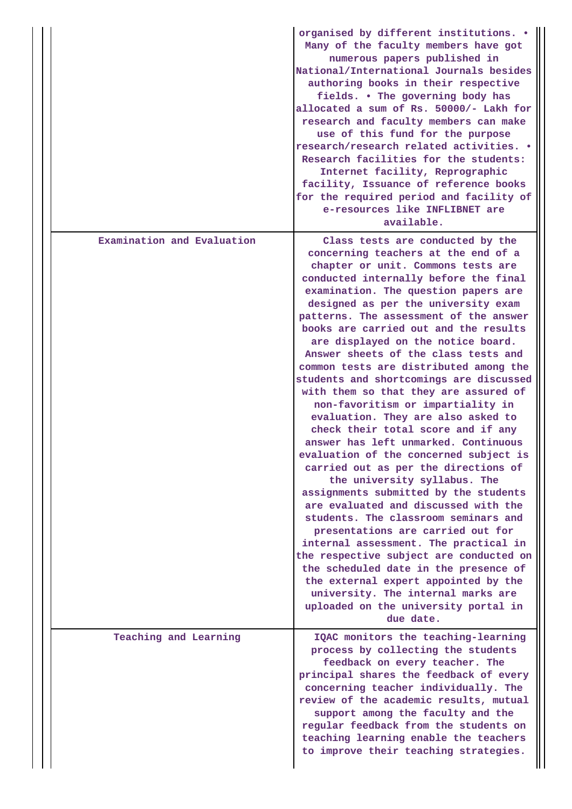|                            | organised by different institutions. .<br>Many of the faculty members have got<br>numerous papers published in<br>National/International Journals besides<br>authoring books in their respective<br>fields. . The governing body has<br>allocated a sum of Rs. 50000/- Lakh for<br>research and faculty members can make<br>use of this fund for the purpose<br>research/research related activities. •<br>Research facilities for the students:<br>Internet facility, Reprographic<br>facility, Issuance of reference books<br>for the required period and facility of<br>e-resources like INFLIBNET are<br>available.                                                                                                                                                                                                                                                                                                                                                                                                                                                                                                                                                                                                                       |
|----------------------------|-----------------------------------------------------------------------------------------------------------------------------------------------------------------------------------------------------------------------------------------------------------------------------------------------------------------------------------------------------------------------------------------------------------------------------------------------------------------------------------------------------------------------------------------------------------------------------------------------------------------------------------------------------------------------------------------------------------------------------------------------------------------------------------------------------------------------------------------------------------------------------------------------------------------------------------------------------------------------------------------------------------------------------------------------------------------------------------------------------------------------------------------------------------------------------------------------------------------------------------------------|
| Examination and Evaluation | Class tests are conducted by the<br>concerning teachers at the end of a<br>chapter or unit. Commons tests are<br>conducted internally before the final<br>examination. The question papers are<br>designed as per the university exam<br>patterns. The assessment of the answer<br>books are carried out and the results<br>are displayed on the notice board.<br>Answer sheets of the class tests and<br>common tests are distributed among the<br>students and shortcomings are discussed<br>with them so that they are assured of<br>non-favoritism or impartiality in<br>evaluation. They are also asked to<br>check their total score and if any<br>answer has left unmarked. Continuous<br>evaluation of the concerned subject is<br>carried out as per the directions of<br>the university syllabus. The<br>assignments submitted by the students<br>are evaluated and discussed with the<br>students. The classroom seminars and<br>presentations are carried out for<br>internal assessment. The practical in<br>the respective subject are conducted on<br>the scheduled date in the presence of<br>the external expert appointed by the<br>university. The internal marks are<br>uploaded on the university portal in<br>due date. |
| Teaching and Learning      | IQAC monitors the teaching-learning<br>process by collecting the students<br>feedback on every teacher. The<br>principal shares the feedback of every<br>concerning teacher individually. The<br>review of the academic results, mutual<br>support among the faculty and the<br>regular feedback from the students on<br>teaching learning enable the teachers<br>to improve their teaching strategies.                                                                                                                                                                                                                                                                                                                                                                                                                                                                                                                                                                                                                                                                                                                                                                                                                                       |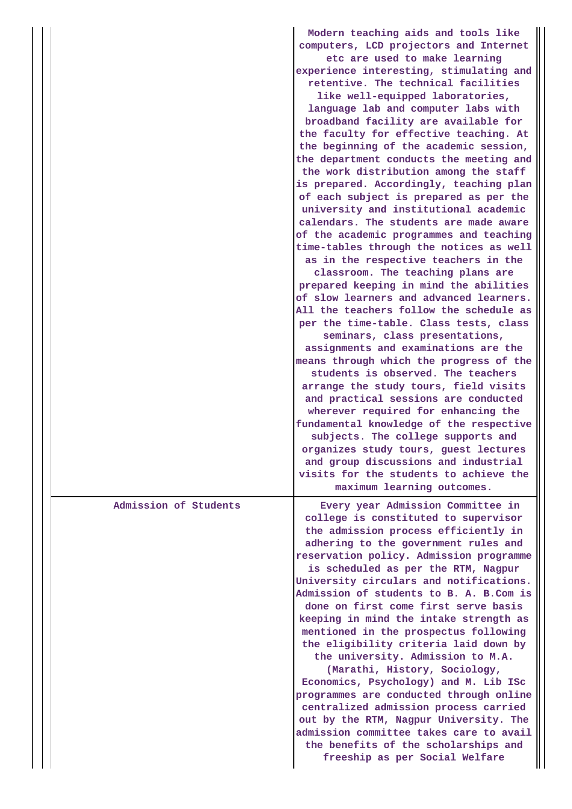|                       | Modern teaching aids and tools like<br>computers, LCD projectors and Internet<br>etc are used to make learning<br>experience interesting, stimulating and<br>retentive. The technical facilities<br>like well-equipped laboratories,<br>language lab and computer labs with<br>broadband facility are available for<br>the faculty for effective teaching. At<br>the beginning of the academic session,<br>the department conducts the meeting and<br>the work distribution among the staff<br>is prepared. Accordingly, teaching plan<br>of each subject is prepared as per the<br>university and institutional academic<br>calendars. The students are made aware<br>of the academic programmes and teaching<br>time-tables through the notices as well<br>as in the respective teachers in the<br>classroom. The teaching plans are<br>prepared keeping in mind the abilities<br>of slow learners and advanced learners.<br>All the teachers follow the schedule as<br>per the time-table. Class tests, class<br>seminars, class presentations,<br>assignments and examinations are the<br>means through which the progress of the<br>students is observed. The teachers<br>arrange the study tours, field visits<br>and practical sessions are conducted<br>wherever required for enhancing the<br>fundamental knowledge of the respective<br>subjects. The college supports and<br>organizes study tours, guest lectures<br>and group discussions and industrial<br>visits for the students to achieve the |
|-----------------------|-----------------------------------------------------------------------------------------------------------------------------------------------------------------------------------------------------------------------------------------------------------------------------------------------------------------------------------------------------------------------------------------------------------------------------------------------------------------------------------------------------------------------------------------------------------------------------------------------------------------------------------------------------------------------------------------------------------------------------------------------------------------------------------------------------------------------------------------------------------------------------------------------------------------------------------------------------------------------------------------------------------------------------------------------------------------------------------------------------------------------------------------------------------------------------------------------------------------------------------------------------------------------------------------------------------------------------------------------------------------------------------------------------------------------------------------------------------------------------------------------------------------|
|                       | maximum learning outcomes.                                                                                                                                                                                                                                                                                                                                                                                                                                                                                                                                                                                                                                                                                                                                                                                                                                                                                                                                                                                                                                                                                                                                                                                                                                                                                                                                                                                                                                                                                      |
| Admission of Students | Every year Admission Committee in<br>college is constituted to supervisor<br>the admission process efficiently in<br>adhering to the government rules and<br>reservation policy. Admission programme<br>is scheduled as per the RTM, Nagpur<br>University circulars and notifications.<br>Admission of students to B. A. B.Com is<br>done on first come first serve basis<br>keeping in mind the intake strength as<br>mentioned in the prospectus following<br>the eligibility criteria laid down by<br>the university. Admission to M.A.<br>(Marathi, History, Sociology,<br>Economics, Psychology) and M. Lib ISc<br>programmes are conducted through online<br>centralized admission process carried<br>out by the RTM, Nagpur University. The<br>admission committee takes care to avail<br>the benefits of the scholarships and<br>freeship as per Social Welfare                                                                                                                                                                                                                                                                                                                                                                                                                                                                                                                                                                                                                                         |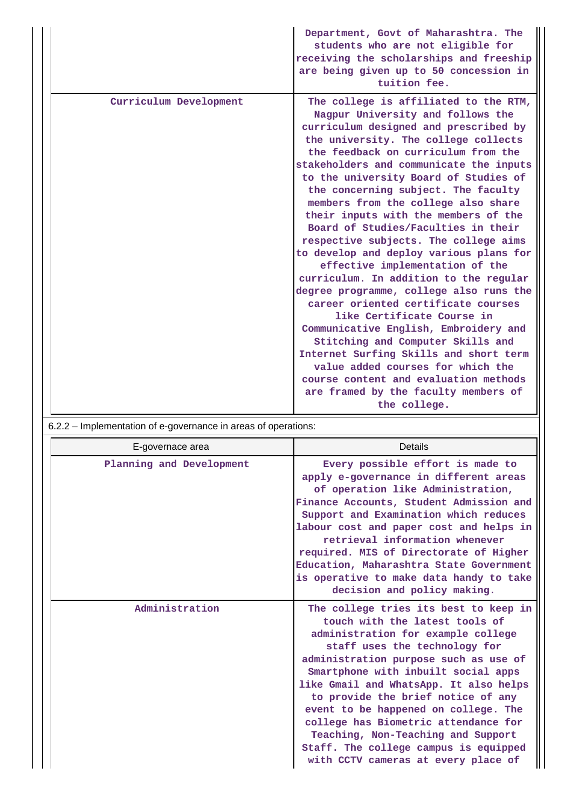|                        | Department, Govt of Maharashtra. The<br>students who are not eligible for<br>receiving the scholarships and freeship<br>are being given up to 50 concession in<br>tuition fee.                                                                                                                                                                                                                                                                                                                                                                                                                                                                                                                                                                                                                                                                                                                                                                                                                     |
|------------------------|----------------------------------------------------------------------------------------------------------------------------------------------------------------------------------------------------------------------------------------------------------------------------------------------------------------------------------------------------------------------------------------------------------------------------------------------------------------------------------------------------------------------------------------------------------------------------------------------------------------------------------------------------------------------------------------------------------------------------------------------------------------------------------------------------------------------------------------------------------------------------------------------------------------------------------------------------------------------------------------------------|
| Curriculum Development | The college is affiliated to the RTM,<br>Nagpur University and follows the<br>curriculum designed and prescribed by<br>the university. The college collects<br>the feedback on curriculum from the<br>stakeholders and communicate the inputs<br>to the university Board of Studies of<br>the concerning subject. The faculty<br>members from the college also share<br>their inputs with the members of the<br>Board of Studies/Faculties in their<br>respective subjects. The college aims<br>to develop and deploy various plans for<br>effective implementation of the<br>curriculum. In addition to the regular<br>degree programme, college also runs the<br>career oriented certificate courses<br>like Certificate Course in<br>Communicative English, Embroidery and<br>Stitching and Computer Skills and<br>Internet Surfing Skills and short term<br>value added courses for which the<br>course content and evaluation methods<br>are framed by the faculty members of<br>the college. |
|                        |                                                                                                                                                                                                                                                                                                                                                                                                                                                                                                                                                                                                                                                                                                                                                                                                                                                                                                                                                                                                    |

|  |  |  |  |  | 6.2.2 – Implementation of e-governance in areas of operations: |
|--|--|--|--|--|----------------------------------------------------------------|
|--|--|--|--|--|----------------------------------------------------------------|

| E-governace area         | Details                                                                                                                                                                                                                                                                                                                                                                                                                                                                                                              |
|--------------------------|----------------------------------------------------------------------------------------------------------------------------------------------------------------------------------------------------------------------------------------------------------------------------------------------------------------------------------------------------------------------------------------------------------------------------------------------------------------------------------------------------------------------|
| Planning and Development | Every possible effort is made to<br>apply e-governance in different areas<br>of operation like Administration,<br>Finance Accounts, Student Admission and<br>Support and Examination which reduces<br>labour cost and paper cost and helps in<br>retrieval information whenever<br>required. MIS of Directorate of Higher<br>Education, Maharashtra State Government<br>is operative to make data handy to take<br>decision and policy making.                                                                       |
| Administration           | The college tries its best to keep in<br>touch with the latest tools of<br>administration for example college<br>staff uses the technology for<br>administration purpose such as use of<br>Smartphone with inbuilt social apps<br>like Gmail and WhatsApp. It also helps<br>to provide the brief notice of any<br>event to be happened on college. The<br>college has Biometric attendance for<br>Teaching, Non-Teaching and Support<br>Staff. The college campus is equipped<br>with CCTV cameras at every place of |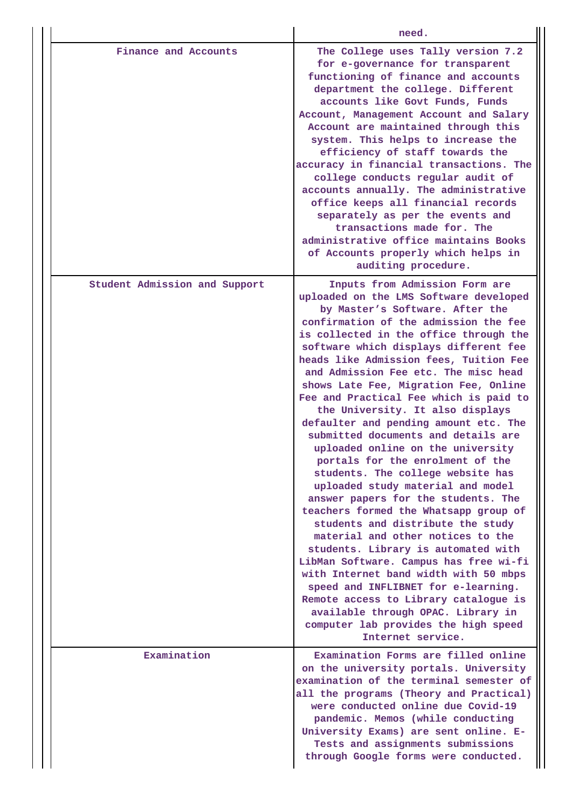|                               | need.                                                                                                                                                                                                                                                                                                                                                                                                                                                                                                                                                                                                                                                                                                                                                                                                                                                                                                                                                                                                                                                                                                                                                      |
|-------------------------------|------------------------------------------------------------------------------------------------------------------------------------------------------------------------------------------------------------------------------------------------------------------------------------------------------------------------------------------------------------------------------------------------------------------------------------------------------------------------------------------------------------------------------------------------------------------------------------------------------------------------------------------------------------------------------------------------------------------------------------------------------------------------------------------------------------------------------------------------------------------------------------------------------------------------------------------------------------------------------------------------------------------------------------------------------------------------------------------------------------------------------------------------------------|
| Finance and Accounts          | The College uses Tally version 7.2<br>for e-governance for transparent<br>functioning of finance and accounts<br>department the college. Different<br>accounts like Govt Funds, Funds<br>Account, Management Account and Salary<br>Account are maintained through this<br>system. This helps to increase the<br>efficiency of staff towards the<br>accuracy in financial transactions. The<br>college conducts regular audit of<br>accounts annually. The administrative<br>office keeps all financial records<br>separately as per the events and<br>transactions made for. The<br>administrative office maintains Books<br>of Accounts properly which helps in<br>auditing procedure.                                                                                                                                                                                                                                                                                                                                                                                                                                                                    |
| Student Admission and Support | Inputs from Admission Form are<br>uploaded on the LMS Software developed<br>by Master's Software. After the<br>confirmation of the admission the fee<br>is collected in the office through the<br>software which displays different fee<br>heads like Admission fees, Tuition Fee<br>and Admission Fee etc. The misc head<br>shows Late Fee, Migration Fee, Online<br>Fee and Practical Fee which is paid to<br>the University. It also displays<br>defaulter and pending amount etc. The<br>submitted documents and details are<br>uploaded online on the university<br>portals for the enrolment of the<br>students. The college website has<br>uploaded study material and model<br>answer papers for the students. The<br>teachers formed the Whatsapp group of<br>students and distribute the study<br>material and other notices to the<br>students. Library is automated with<br>LibMan Software. Campus has free wi-fi<br>with Internet band width with 50 mbps<br>speed and INFLIBNET for e-learning.<br>Remote access to Library catalogue is<br>available through OPAC. Library in<br>computer lab provides the high speed<br>Internet service. |
| Examination                   | Examination Forms are filled online<br>on the university portals. University<br>examination of the terminal semester of<br>all the programs (Theory and Practical)<br>were conducted online due Covid-19<br>pandemic. Memos (while conducting<br>University Exams) are sent online. E-<br>Tests and assignments submissions<br>through Google forms were conducted.                                                                                                                                                                                                                                                                                                                                                                                                                                                                                                                                                                                                                                                                                                                                                                                        |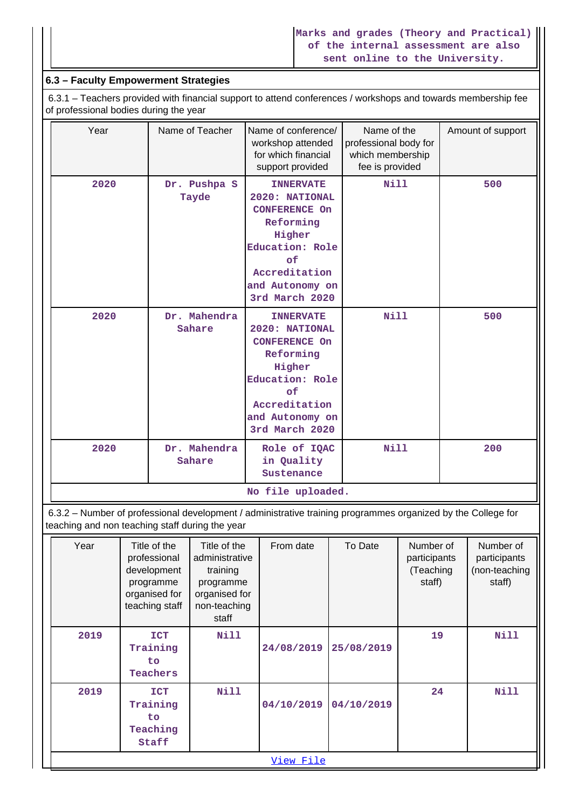## **6.3 – Faculty Empowerment Strategies**

 6.3.1 – Teachers provided with financial support to attend conferences / workshops and towards membership fee of professional bodies during the year

| Year | Name of Teacher        | Name of conference/<br>workshop attended<br>for which financial<br>support provided                                                                              | Name of the<br>professional body for<br>which membership<br>fee is provided | Amount of support |
|------|------------------------|------------------------------------------------------------------------------------------------------------------------------------------------------------------|-----------------------------------------------------------------------------|-------------------|
| 2020 | Dr. Pushpa S<br>Tayde  | <b>INNERVATE</b><br>2020: NATIONAL<br><b>CONFERENCE On</b><br>Reforming<br>Higher<br>Education: Role<br>of<br>Accreditation<br>and Autonomy on<br>3rd March 2020 | Nill                                                                        | 500               |
| 2020 | Dr. Mahendra<br>Sahare | <b>INNERVATE</b><br>2020: NATIONAL<br><b>CONFERENCE On</b><br>Reforming<br>Higher<br>Education: Role<br>of<br>Accreditation<br>and Autonomy on<br>3rd March 2020 | <b>Nill</b>                                                                 | 500               |
| 2020 | Dr. Mahendra<br>Sahare | Role of IQAC<br>in Quality<br>Sustenance                                                                                                                         | <b>Nill</b>                                                                 | 200               |
|      |                        | No file uploaded.                                                                                                                                                |                                                                             |                   |

 6.3.2 – Number of professional development / administrative training programmes organized by the College for teaching and non teaching staff during the year

| Year | Title of the<br>professional<br>development<br>programme<br>organised for<br>teaching staff | Title of the<br>administrative<br>training<br>programme<br>organised for<br>non-teaching<br>staff | From date  | To Date    | Number of<br>participants<br>(Teaching<br>staff) | Number of<br>participants<br>(non-teaching<br>staff) |
|------|---------------------------------------------------------------------------------------------|---------------------------------------------------------------------------------------------------|------------|------------|--------------------------------------------------|------------------------------------------------------|
| 2019 | <b>ICT</b><br>Training<br>to.<br><b>Teachers</b>                                            | <b>Nill</b>                                                                                       | 24/08/2019 | 25/08/2019 | 19                                               | <b>Nill</b>                                          |
| 2019 | <b>ICT</b><br>Training<br>to.<br>Teaching<br>Staff                                          | <b>Nill</b>                                                                                       | 04/10/2019 | 04/10/2019 | 24                                               | Nill                                                 |
|      |                                                                                             |                                                                                                   | View File  |            |                                                  |                                                      |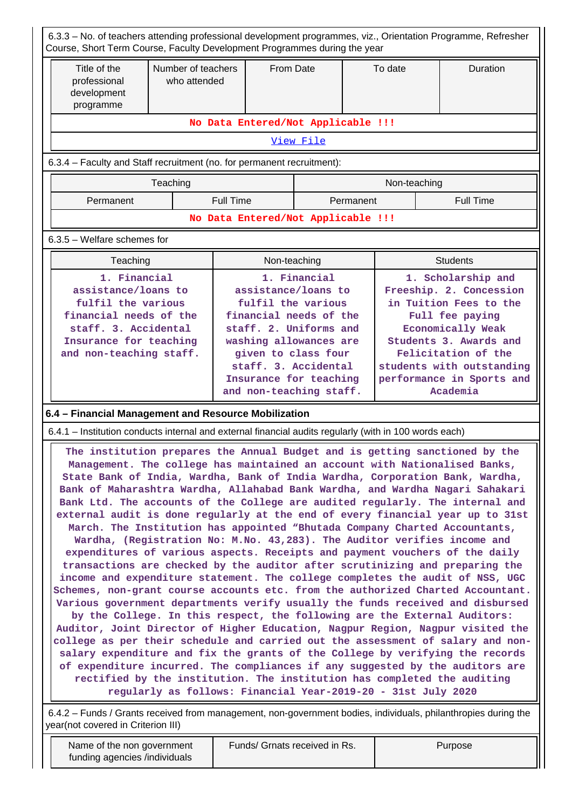| 6.3.3 - No. of teachers attending professional development programmes, viz., Orientation Programme, Refresher<br>Course, Short Term Course, Faculty Development Programmes during the year                                                                                                                                                                                                                                                                                                                                                                                                                                                                                                                                                                                                                                                                                                                                                                                                                                                                                                                                                                                                                                                                                                                                                                                                                                                                                                                                                                                                                                                                                                                                                              |                                    |                  |              |                                    |           |              |                  |
|---------------------------------------------------------------------------------------------------------------------------------------------------------------------------------------------------------------------------------------------------------------------------------------------------------------------------------------------------------------------------------------------------------------------------------------------------------------------------------------------------------------------------------------------------------------------------------------------------------------------------------------------------------------------------------------------------------------------------------------------------------------------------------------------------------------------------------------------------------------------------------------------------------------------------------------------------------------------------------------------------------------------------------------------------------------------------------------------------------------------------------------------------------------------------------------------------------------------------------------------------------------------------------------------------------------------------------------------------------------------------------------------------------------------------------------------------------------------------------------------------------------------------------------------------------------------------------------------------------------------------------------------------------------------------------------------------------------------------------------------------------|------------------------------------|------------------|--------------|------------------------------------|-----------|--------------|------------------|
| Title of the<br>professional<br>development<br>programme                                                                                                                                                                                                                                                                                                                                                                                                                                                                                                                                                                                                                                                                                                                                                                                                                                                                                                                                                                                                                                                                                                                                                                                                                                                                                                                                                                                                                                                                                                                                                                                                                                                                                                | Number of teachers<br>who attended | From Date        |              |                                    |           | To date      | Duration         |
|                                                                                                                                                                                                                                                                                                                                                                                                                                                                                                                                                                                                                                                                                                                                                                                                                                                                                                                                                                                                                                                                                                                                                                                                                                                                                                                                                                                                                                                                                                                                                                                                                                                                                                                                                         | No Data Entered/Not Applicable !!! |                  |              |                                    |           |              |                  |
|                                                                                                                                                                                                                                                                                                                                                                                                                                                                                                                                                                                                                                                                                                                                                                                                                                                                                                                                                                                                                                                                                                                                                                                                                                                                                                                                                                                                                                                                                                                                                                                                                                                                                                                                                         |                                    |                  |              | View File                          |           |              |                  |
| 6.3.4 - Faculty and Staff recruitment (no. for permanent recruitment):                                                                                                                                                                                                                                                                                                                                                                                                                                                                                                                                                                                                                                                                                                                                                                                                                                                                                                                                                                                                                                                                                                                                                                                                                                                                                                                                                                                                                                                                                                                                                                                                                                                                                  |                                    |                  |              |                                    |           |              |                  |
| Teaching                                                                                                                                                                                                                                                                                                                                                                                                                                                                                                                                                                                                                                                                                                                                                                                                                                                                                                                                                                                                                                                                                                                                                                                                                                                                                                                                                                                                                                                                                                                                                                                                                                                                                                                                                |                                    |                  |              |                                    |           | Non-teaching |                  |
| Permanent                                                                                                                                                                                                                                                                                                                                                                                                                                                                                                                                                                                                                                                                                                                                                                                                                                                                                                                                                                                                                                                                                                                                                                                                                                                                                                                                                                                                                                                                                                                                                                                                                                                                                                                                               |                                    | <b>Full Time</b> |              |                                    | Permanent |              | <b>Full Time</b> |
|                                                                                                                                                                                                                                                                                                                                                                                                                                                                                                                                                                                                                                                                                                                                                                                                                                                                                                                                                                                                                                                                                                                                                                                                                                                                                                                                                                                                                                                                                                                                                                                                                                                                                                                                                         |                                    |                  |              | No Data Entered/Not Applicable !!! |           |              |                  |
| 6.3.5 - Welfare schemes for                                                                                                                                                                                                                                                                                                                                                                                                                                                                                                                                                                                                                                                                                                                                                                                                                                                                                                                                                                                                                                                                                                                                                                                                                                                                                                                                                                                                                                                                                                                                                                                                                                                                                                                             |                                    |                  |              |                                    |           |              |                  |
| Teaching                                                                                                                                                                                                                                                                                                                                                                                                                                                                                                                                                                                                                                                                                                                                                                                                                                                                                                                                                                                                                                                                                                                                                                                                                                                                                                                                                                                                                                                                                                                                                                                                                                                                                                                                                |                                    |                  | Non-teaching |                                    |           |              | <b>Students</b>  |
| 1. Financial<br>1. Financial<br>1. Scholarship and<br>assistance/loans to<br>assistance/loans to<br>Freeship. 2. Concession<br>fulfil the various<br>fulfil the various<br>in Tuition Fees to the<br>financial needs of the<br>financial needs of the<br>Full fee paying<br>staff. 3. Accidental<br>staff. 2. Uniforms and<br>Economically Weak<br>washing allowances are<br>Students 3. Awards and<br>Insurance for teaching<br>given to class four<br>Felicitation of the<br>and non-teaching staff.<br>staff. 3. Accidental<br>students with outstanding<br>Insurance for teaching<br>performance in Sports and<br>and non-teaching staff.                                                                                                                                                                                                                                                                                                                                                                                                                                                                                                                                                                                                                                                                                                                                                                                                                                                                                                                                                                                                                                                                                                           |                                    |                  |              |                                    | Academia  |              |                  |
| 6.4 - Financial Management and Resource Mobilization                                                                                                                                                                                                                                                                                                                                                                                                                                                                                                                                                                                                                                                                                                                                                                                                                                                                                                                                                                                                                                                                                                                                                                                                                                                                                                                                                                                                                                                                                                                                                                                                                                                                                                    |                                    |                  |              |                                    |           |              |                  |
|                                                                                                                                                                                                                                                                                                                                                                                                                                                                                                                                                                                                                                                                                                                                                                                                                                                                                                                                                                                                                                                                                                                                                                                                                                                                                                                                                                                                                                                                                                                                                                                                                                                                                                                                                         |                                    |                  |              |                                    |           |              |                  |
| 6.4.1 – Institution conducts internal and external financial audits regularly (with in 100 words each)<br>The institution prepares the Annual Budget and is getting sanctioned by the<br>Management. The college has maintained an account with Nationalised Banks,<br>State Bank of India, Wardha, Bank of India Wardha, Corporation Bank, Wardha,<br>Bank of Maharashtra Wardha, Allahabad Bank Wardha, and Wardha Nagari Sahakari<br>Bank Ltd. The accounts of the College are audited regularly. The internal and<br>external audit is done regularly at the end of every financial year up to 31st<br>March. The Institution has appointed "Bhutada Company Charted Accountants,<br>Wardha, (Registration No: M.No. 43,283). The Auditor verifies income and<br>expenditures of various aspects. Receipts and payment vouchers of the daily<br>transactions are checked by the auditor after scrutinizing and preparing the<br>income and expenditure statement. The college completes the audit of NSS, UGC<br>Schemes, non-grant course accounts etc. from the authorized Charted Accountant.<br>Various government departments verify usually the funds received and disbursed<br>by the College. In this respect, the following are the External Auditors:<br>Auditor, Joint Director of Higher Education, Nagpur Region, Nagpur visited the<br>college as per their schedule and carried out the assessment of salary and non-<br>salary expenditure and fix the grants of the College by verifying the records<br>of expenditure incurred. The compliances if any suggested by the auditors are<br>rectified by the institution. The institution has completed the auditing<br>regularly as follows: Financial Year-2019-20 - 31st July 2020 |                                    |                  |              |                                    |           |              |                  |

| Name of the non government    | Funds/ Grnats received in Rs. | Purpose |
|-------------------------------|-------------------------------|---------|
| funding agencies /individuals |                               |         |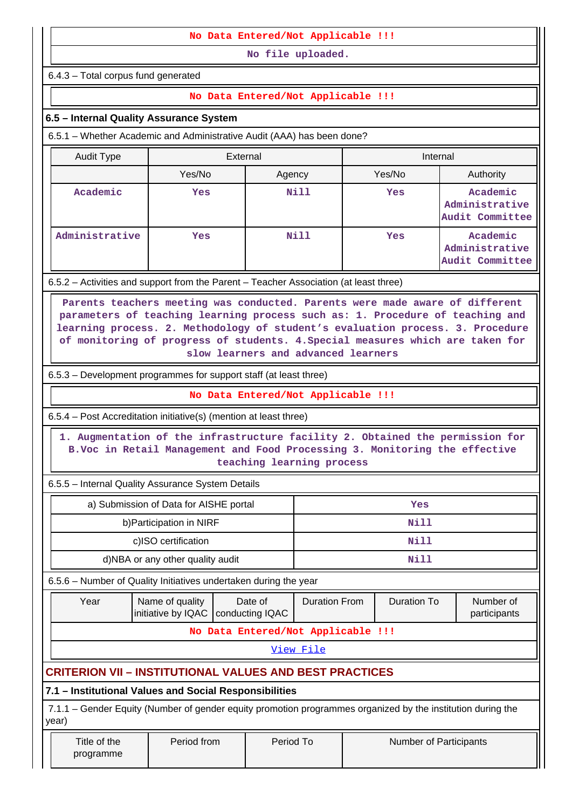### **No Data Entered/Not Applicable !!!**

**No file uploaded.**

6.4.3 – Total corpus fund generated

## **No Data Entered/Not Applicable !!!**

## **6.5 – Internal Quality Assurance System**

6.5.1 – Whether Academic and Administrative Audit (AAA) has been done?

| Audit Type     | External   |        | Internal |                                               |  |  |
|----------------|------------|--------|----------|-----------------------------------------------|--|--|
|                | Yes/No     | Agency | Yes/No   | Authority                                     |  |  |
| Academic       | <b>Yes</b> | Nill   | Yes      | Academic<br>Administrative<br>Audit Committee |  |  |
| Administrative | Yes        | Nill   | Yes      | Academic<br>Administrative<br>Audit Committee |  |  |

6.5.2 – Activities and support from the Parent – Teacher Association (at least three)

 **Parents teachers meeting was conducted. Parents were made aware of different parameters of teaching learning process such as: 1. Procedure of teaching and learning process. 2. Methodology of student's evaluation process. 3. Procedure of monitoring of progress of students. 4.Special measures which are taken for slow learners and advanced learners**

6.5.3 – Development programmes for support staff (at least three)

**No Data Entered/Not Applicable !!!**

6.5.4 – Post Accreditation initiative(s) (mention at least three)

 **1. Augmentation of the infrastructure facility 2. Obtained the permission for B.Voc in Retail Management and Food Processing 3. Monitoring the effective teaching learning process**

6.5.5 – Internal Quality Assurance System Details

| a) Submission of Data for AISHE portal | Yes  |
|----------------------------------------|------|
| b) Participation in NIRF               | Nill |
| c)ISO certification                    | Nill |
| d)NBA or any other quality audit       | Nill |

6.5.6 – Number of Quality Initiatives undertaken during the year

|                                    | Year | Name of quality<br>Date of<br>initiative by IQAC   conducting IQAC |  | Duration From | Duration To | Number of<br>participants |  |  |
|------------------------------------|------|--------------------------------------------------------------------|--|---------------|-------------|---------------------------|--|--|
| No Data Entered/Not Applicable !!! |      |                                                                    |  |               |             |                           |  |  |

[View File](https://assessmentonline.naac.gov.in/public/Postacc/Quality_Initiatives_B/5760_Quality_Initiatives_B_1641883524.xlsx)

## **CRITERION VII – INSTITUTIONAL VALUES AND BEST PRACTICES**

## **7.1 – Institutional Values and Social Responsibilities**

 7.1.1 – Gender Equity (Number of gender equity promotion programmes organized by the institution during the year)

 Title of the programme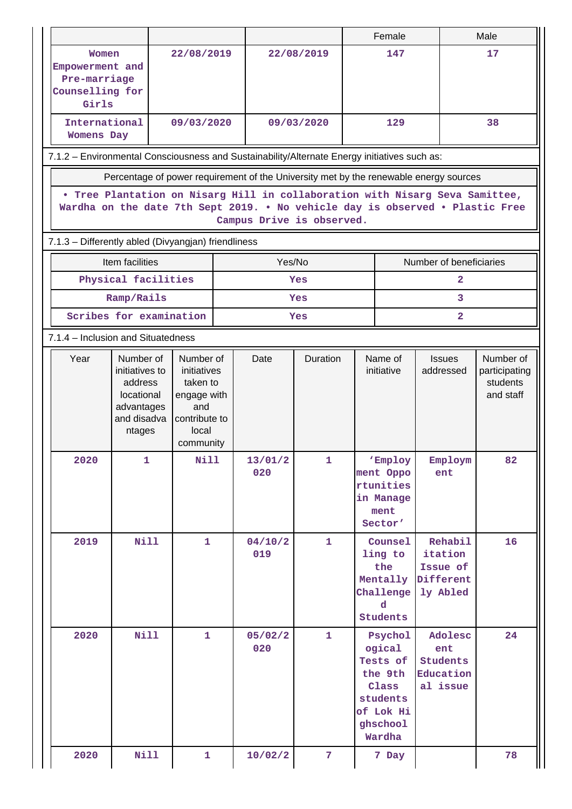|                                                     |                                                                                                                                                                                            |                                                                                |                                                                                      |  |                     |                                      |  | Female                                                                                           |                                                         | Male                                                |  |  |
|-----------------------------------------------------|--------------------------------------------------------------------------------------------------------------------------------------------------------------------------------------------|--------------------------------------------------------------------------------|--------------------------------------------------------------------------------------|--|---------------------|--------------------------------------|--|--------------------------------------------------------------------------------------------------|---------------------------------------------------------|-----------------------------------------------------|--|--|
|                                                     | Women<br>Empowerment and<br>Pre-marriage<br>Counselling for<br>Girls                                                                                                                       |                                                                                | 22/08/2019                                                                           |  |                     | 22/08/2019                           |  | 147                                                                                              |                                                         | 17                                                  |  |  |
|                                                     | International<br><b>Womens Day</b>                                                                                                                                                         |                                                                                | 09/03/2020                                                                           |  |                     | 09/03/2020                           |  | 129                                                                                              |                                                         | 38                                                  |  |  |
|                                                     | 7.1.2 - Environmental Consciousness and Sustainability/Alternate Energy initiatives such as:                                                                                               |                                                                                |                                                                                      |  |                     |                                      |  |                                                                                                  |                                                         |                                                     |  |  |
|                                                     | Percentage of power requirement of the University met by the renewable energy sources                                                                                                      |                                                                                |                                                                                      |  |                     |                                      |  |                                                                                                  |                                                         |                                                     |  |  |
|                                                     | . Tree Plantation on Nisarg Hill in collaboration with Nisarg Seva Samittee,<br>Wardha on the date 7th Sept 2019. . No vehicle day is observed . Plastic Free<br>Campus Drive is observed. |                                                                                |                                                                                      |  |                     |                                      |  |                                                                                                  |                                                         |                                                     |  |  |
| 7.1.3 - Differently abled (Divyangjan) friendliness |                                                                                                                                                                                            |                                                                                |                                                                                      |  |                     |                                      |  |                                                                                                  |                                                         |                                                     |  |  |
|                                                     |                                                                                                                                                                                            | Item facilities                                                                |                                                                                      |  | Yes/No              |                                      |  |                                                                                                  | Number of beneficiaries                                 |                                                     |  |  |
|                                                     |                                                                                                                                                                                            | Physical facilities                                                            |                                                                                      |  |                     | Yes                                  |  |                                                                                                  | $\mathbf{2}$                                            |                                                     |  |  |
|                                                     |                                                                                                                                                                                            | Ramp/Rails<br>Scribes for examination                                          |                                                                                      |  |                     | Yes                                  |  |                                                                                                  | 3                                                       |                                                     |  |  |
|                                                     |                                                                                                                                                                                            | 7.1.4 – Inclusion and Situatedness                                             |                                                                                      |  | $\mathbf{2}$<br>Yes |                                      |  |                                                                                                  |                                                         |                                                     |  |  |
|                                                     | Year                                                                                                                                                                                       | Number of                                                                      | Number of                                                                            |  | Date                | Duration<br>Name of<br><b>Issues</b> |  |                                                                                                  |                                                         |                                                     |  |  |
|                                                     |                                                                                                                                                                                            | initiatives to<br>address<br>locational<br>advantages<br>and disadva<br>ntages | initiatives<br>taken to<br>engage with<br>and<br>contribute to<br>local<br>community |  |                     |                                      |  | initiative                                                                                       | addressed                                               | Number of<br>participating<br>students<br>and staff |  |  |
|                                                     | 2020                                                                                                                                                                                       | 1                                                                              | <b>Nill</b>                                                                          |  | 13/01/2<br>020      | $\mathbf{1}$                         |  | 'Employ<br>ment Oppo<br>rtunities<br>in Manage<br>ment<br>Sector'                                | Employm<br>ent                                          | 82                                                  |  |  |
|                                                     | 2019                                                                                                                                                                                       | Nill                                                                           | $\mathbf{1}$                                                                         |  | 04/10/2<br>019      | $\mathbf{1}$                         |  | Counsel<br>ling to<br>the<br>Mentally<br>Challenge<br>d<br>Students                              | Rehabil<br>itation<br>Issue of<br>Different<br>ly Abled | 16                                                  |  |  |
|                                                     | 2020                                                                                                                                                                                       | <b>Nill</b>                                                                    | $\mathbf{1}$                                                                         |  | 05/02/2<br>020      | $\mathbf{1}$                         |  | Psychol<br>ogical<br>Tests of<br>the 9th<br>Class<br>students<br>of Lok Hi<br>ghschool<br>Wardha | Adolesc<br>ent<br>Students<br>Education<br>al issue     | 24                                                  |  |  |
|                                                     | 2020                                                                                                                                                                                       | Nill                                                                           | $\mathbf{1}$                                                                         |  | 10/02/2             | $\overline{7}$                       |  | 7 Day                                                                                            |                                                         | 78                                                  |  |  |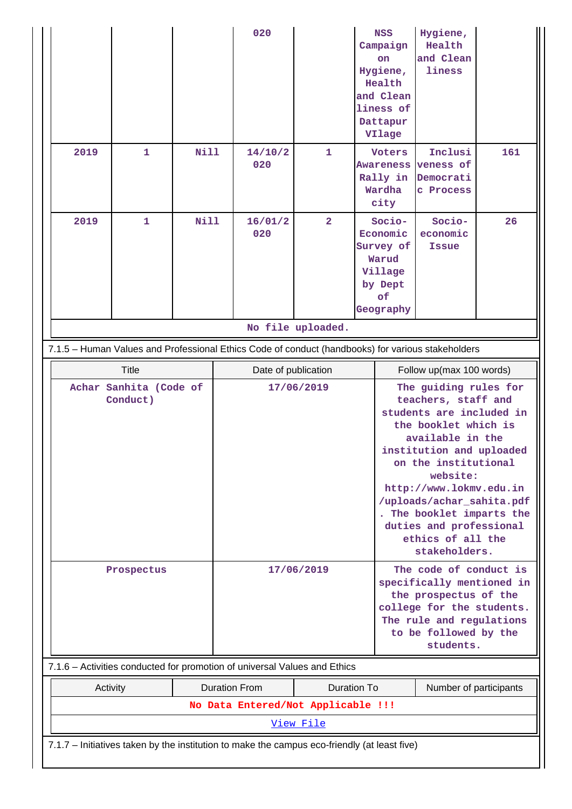|                                                                           |                                                                                              |                                    |             |            | 020                                                                                               |                   |                                                                                                                                                                             | <b>NSS</b><br>Campaign<br>on<br>Hygiene,<br>Health<br>and Clean<br>liness of<br>Dattapur<br>VIlage                                                                                                                                                                                                                                       | Hygiene,<br>Health<br>and Clean<br>liness                |     |
|---------------------------------------------------------------------------|----------------------------------------------------------------------------------------------|------------------------------------|-------------|------------|---------------------------------------------------------------------------------------------------|-------------------|-----------------------------------------------------------------------------------------------------------------------------------------------------------------------------|------------------------------------------------------------------------------------------------------------------------------------------------------------------------------------------------------------------------------------------------------------------------------------------------------------------------------------------|----------------------------------------------------------|-----|
|                                                                           | 2019                                                                                         | $\mathbf{1}$                       | Nill        |            | 14/10/2<br>020                                                                                    | $\mathbf{1}$      |                                                                                                                                                                             | <b>Voters</b><br>Rally in<br>Wardha<br>city                                                                                                                                                                                                                                                                                              | Inclusi<br>Awareness veness of<br>Democrati<br>c Process | 161 |
|                                                                           | 2019                                                                                         | $\mathbf{1}$                       | <b>Nill</b> |            | 16/01/2<br>020                                                                                    | $\overline{2}$    |                                                                                                                                                                             | Socio-<br>Economic<br>Survey of<br>Warud<br>Village<br>by Dept<br>of<br>Geography                                                                                                                                                                                                                                                        | Socio-<br>economic<br><b>Issue</b>                       | 26  |
|                                                                           |                                                                                              |                                    |             |            |                                                                                                   | No file uploaded. |                                                                                                                                                                             |                                                                                                                                                                                                                                                                                                                                          |                                                          |     |
|                                                                           |                                                                                              |                                    |             |            | 7.1.5 - Human Values and Professional Ethics Code of conduct (handbooks) for various stakeholders |                   |                                                                                                                                                                             |                                                                                                                                                                                                                                                                                                                                          |                                                          |     |
|                                                                           | <b>Title</b>                                                                                 |                                    |             |            | Date of publication                                                                               |                   |                                                                                                                                                                             | Follow up(max 100 words)                                                                                                                                                                                                                                                                                                                 |                                                          |     |
|                                                                           |                                                                                              | Achar Sanhita (Code of<br>Conduct) |             |            |                                                                                                   | 17/06/2019        |                                                                                                                                                                             | The guiding rules for<br>teachers, staff and<br>students are included in<br>the booklet which is<br>available in the<br>institution and uploaded<br>on the institutional<br>website:<br>http://www.lokmv.edu.in<br>/uploads/achar_sahita.pdf<br>The booklet imparts the<br>duties and professional<br>ethics of all the<br>stakeholders. |                                                          |     |
|                                                                           |                                                                                              | Prospectus                         |             | 17/06/2019 |                                                                                                   |                   | The code of conduct is<br>specifically mentioned in<br>the prospectus of the<br>college for the students.<br>The rule and regulations<br>to be followed by the<br>students. |                                                                                                                                                                                                                                                                                                                                          |                                                          |     |
| 7.1.6 - Activities conducted for promotion of universal Values and Ethics |                                                                                              |                                    |             |            |                                                                                                   |                   |                                                                                                                                                                             |                                                                                                                                                                                                                                                                                                                                          |                                                          |     |
| <b>Duration From</b><br><b>Duration To</b><br>Activity                    |                                                                                              |                                    |             |            |                                                                                                   |                   | Number of participants                                                                                                                                                      |                                                                                                                                                                                                                                                                                                                                          |                                                          |     |
|                                                                           |                                                                                              |                                    |             |            | No Data Entered/Not Applicable !!!                                                                |                   |                                                                                                                                                                             |                                                                                                                                                                                                                                                                                                                                          |                                                          |     |
|                                                                           | View File                                                                                    |                                    |             |            |                                                                                                   |                   |                                                                                                                                                                             |                                                                                                                                                                                                                                                                                                                                          |                                                          |     |
|                                                                           | 7.1.7 - Initiatives taken by the institution to make the campus eco-friendly (at least five) |                                    |             |            |                                                                                                   |                   |                                                                                                                                                                             |                                                                                                                                                                                                                                                                                                                                          |                                                          |     |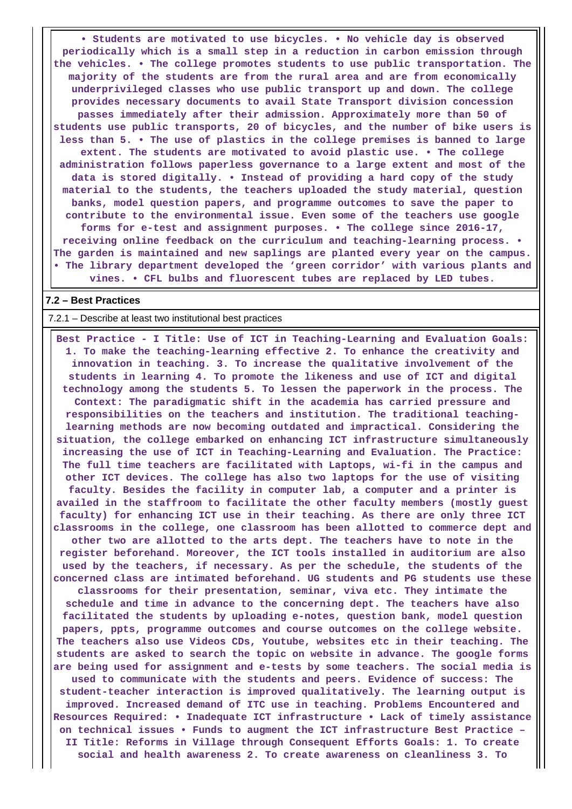**• Students are motivated to use bicycles. • No vehicle day is observed periodically which is a small step in a reduction in carbon emission through the vehicles. • The college promotes students to use public transportation. The majority of the students are from the rural area and are from economically underprivileged classes who use public transport up and down. The college provides necessary documents to avail State Transport division concession passes immediately after their admission. Approximately more than 50 of students use public transports, 20 of bicycles, and the number of bike users is less than 5. • The use of plastics in the college premises is banned to large extent. The students are motivated to avoid plastic use. • The college administration follows paperless governance to a large extent and most of the data is stored digitally. • Instead of providing a hard copy of the study material to the students, the teachers uploaded the study material, question banks, model question papers, and programme outcomes to save the paper to contribute to the environmental issue. Even some of the teachers use google forms for e-test and assignment purposes. • The college since 2016-17, receiving online feedback on the curriculum and teaching-learning process. • The garden is maintained and new saplings are planted every year on the campus. • The library department developed the 'green corridor' with various plants and vines. • CFL bulbs and fluorescent tubes are replaced by LED tubes.**

#### **7.2 – Best Practices**

7.2.1 – Describe at least two institutional best practices

 **Best Practice - I Title: Use of ICT in Teaching-Learning and Evaluation Goals: 1. To make the teaching-learning effective 2. To enhance the creativity and innovation in teaching. 3. To increase the qualitative involvement of the students in learning 4. To promote the likeness and use of ICT and digital technology among the students 5. To lessen the paperwork in the process. The Context: The paradigmatic shift in the academia has carried pressure and responsibilities on the teachers and institution. The traditional teachinglearning methods are now becoming outdated and impractical. Considering the situation, the college embarked on enhancing ICT infrastructure simultaneously increasing the use of ICT in Teaching-Learning and Evaluation. The Practice: The full time teachers are facilitated with Laptops, wi-fi in the campus and other ICT devices. The college has also two laptops for the use of visiting faculty. Besides the facility in computer lab, a computer and a printer is availed in the staffroom to facilitate the other faculty members (mostly guest faculty) for enhancing ICT use in their teaching. As there are only three ICT classrooms in the college, one classroom has been allotted to commerce dept and other two are allotted to the arts dept. The teachers have to note in the register beforehand. Moreover, the ICT tools installed in auditorium are also used by the teachers, if necessary. As per the schedule, the students of the concerned class are intimated beforehand. UG students and PG students use these classrooms for their presentation, seminar, viva etc. They intimate the schedule and time in advance to the concerning dept. The teachers have also facilitated the students by uploading e-notes, question bank, model question papers, ppts, programme outcomes and course outcomes on the college website. The teachers also use Videos CDs, Youtube, websites etc in their teaching. The students are asked to search the topic on website in advance. The google forms are being used for assignment and e-tests by some teachers. The social media is used to communicate with the students and peers. Evidence of success: The student-teacher interaction is improved qualitatively. The learning output is improved. Increased demand of ITC use in teaching. Problems Encountered and Resources Required: • Inadequate ICT infrastructure • Lack of timely assistance on technical issues • Funds to augment the ICT infrastructure Best Practice – II Title: Reforms in Village through Consequent Efforts Goals: 1. To create social and health awareness 2. To create awareness on cleanliness 3. To**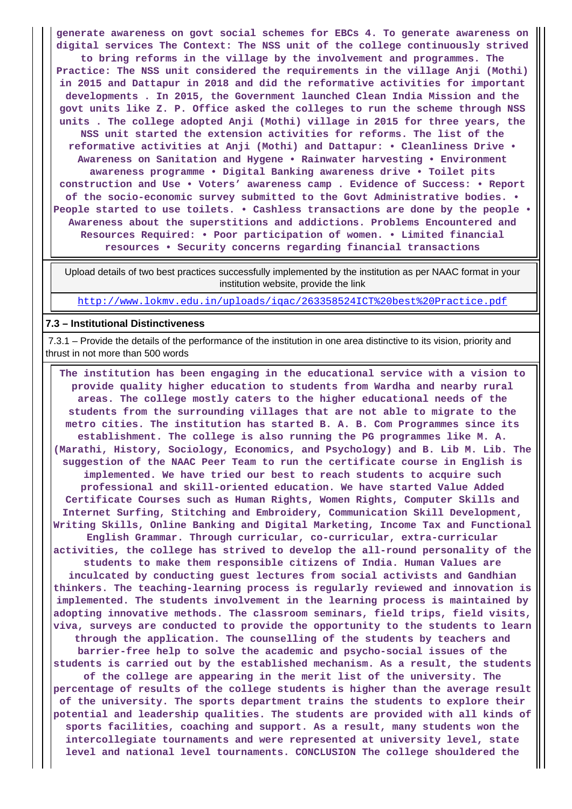**generate awareness on govt social schemes for EBCs 4. To generate awareness on digital services The Context: The NSS unit of the college continuously strived to bring reforms in the village by the involvement and programmes. The Practice: The NSS unit considered the requirements in the village Anji (Mothi) in 2015 and Dattapur in 2018 and did the reformative activities for important developments . In 2015, the Government launched Clean India Mission and the govt units like Z. P. Office asked the colleges to run the scheme through NSS units . The college adopted Anji (Mothi) village in 2015 for three years, the NSS unit started the extension activities for reforms. The list of the reformative activities at Anji (Mothi) and Dattapur: • Cleanliness Drive • Awareness on Sanitation and Hygene • Rainwater harvesting • Environment awareness programme • Digital Banking awareness drive • Toilet pits construction and Use • Voters' awareness camp . Evidence of Success: • Report of the socio-economic survey submitted to the Govt Administrative bodies. • People started to use toilets. • Cashless transactions are done by the people • Awareness about the superstitions and addictions. Problems Encountered and Resources Required: • Poor participation of women. • Limited financial resources • Security concerns regarding financial transactions**

 Upload details of two best practices successfully implemented by the institution as per NAAC format in your institution website, provide the link

<http://www.lokmv.edu.in/uploads/iqac/263358524ICT%20best%20Practice.pdf>

#### **7.3 – Institutional Distinctiveness**

 7.3.1 – Provide the details of the performance of the institution in one area distinctive to its vision, priority and thrust in not more than 500 words

 **The institution has been engaging in the educational service with a vision to provide quality higher education to students from Wardha and nearby rural areas. The college mostly caters to the higher educational needs of the students from the surrounding villages that are not able to migrate to the metro cities. The institution has started B. A. B. Com Programmes since its establishment. The college is also running the PG programmes like M. A. (Marathi, History, Sociology, Economics, and Psychology) and B. Lib M. Lib. The suggestion of the NAAC Peer Team to run the certificate course in English is implemented. We have tried our best to reach students to acquire such professional and skill-oriented education. We have started Value Added Certificate Courses such as Human Rights, Women Rights, Computer Skills and Internet Surfing, Stitching and Embroidery, Communication Skill Development, Writing Skills, Online Banking and Digital Marketing, Income Tax and Functional English Grammar. Through curricular, co-curricular, extra-curricular activities, the college has strived to develop the all-round personality of the students to make them responsible citizens of India. Human Values are inculcated by conducting guest lectures from social activists and Gandhian thinkers. The teaching-learning process is regularly reviewed and innovation is implemented. The students involvement in the learning process is maintained by adopting innovative methods. The classroom seminars, field trips, field visits, viva, surveys are conducted to provide the opportunity to the students to learn through the application. The counselling of the students by teachers and barrier-free help to solve the academic and psycho-social issues of the students is carried out by the established mechanism. As a result, the students of the college are appearing in the merit list of the university. The percentage of results of the college students is higher than the average result of the university. The sports department trains the students to explore their potential and leadership qualities. The students are provided with all kinds of sports facilities, coaching and support. As a result, many students won the intercollegiate tournaments and were represented at university level, state level and national level tournaments. CONCLUSION The college shouldered the**